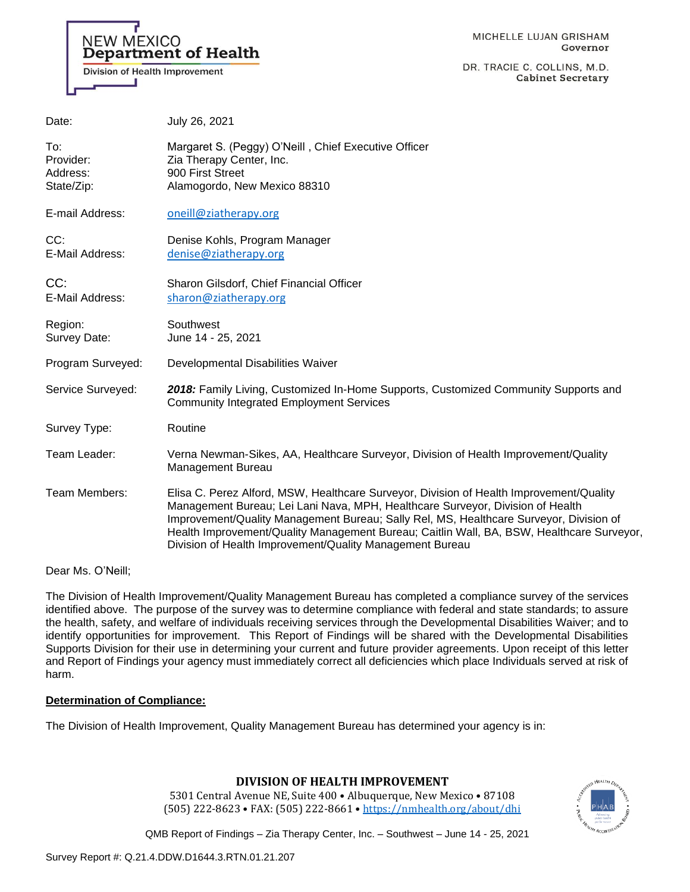# **NEW MEXICO Department of Health** Division of Health Improvement

MICHELLE LUJAN GRISHAM Governor

DR. TRACIE C. COLLINS, M.D. **Cabinet Secretary** 

| Date:                                      | July 26, 2021                                                                                                                                                                                                                                                                                                                                                                                                                |
|--------------------------------------------|------------------------------------------------------------------------------------------------------------------------------------------------------------------------------------------------------------------------------------------------------------------------------------------------------------------------------------------------------------------------------------------------------------------------------|
| To:<br>Provider:<br>Address:<br>State/Zip: | Margaret S. (Peggy) O'Neill, Chief Executive Officer<br>Zia Therapy Center, Inc.<br>900 First Street<br>Alamogordo, New Mexico 88310                                                                                                                                                                                                                                                                                         |
| E-mail Address:                            | oneill@ziatherapy.org                                                                                                                                                                                                                                                                                                                                                                                                        |
| CC:<br>E-Mail Address:                     | Denise Kohls, Program Manager<br>denise@ziatherapy.org                                                                                                                                                                                                                                                                                                                                                                       |
| CC:<br>E-Mail Address:                     | Sharon Gilsdorf, Chief Financial Officer<br>sharon@ziatherapy.org                                                                                                                                                                                                                                                                                                                                                            |
| Region:<br>Survey Date:                    | Southwest<br>June 14 - 25, 2021                                                                                                                                                                                                                                                                                                                                                                                              |
| Program Surveyed:                          | Developmental Disabilities Waiver                                                                                                                                                                                                                                                                                                                                                                                            |
| Service Surveyed:                          | 2018: Family Living, Customized In-Home Supports, Customized Community Supports and<br><b>Community Integrated Employment Services</b>                                                                                                                                                                                                                                                                                       |
| Survey Type:                               | Routine                                                                                                                                                                                                                                                                                                                                                                                                                      |
| Team Leader:                               | Verna Newman-Sikes, AA, Healthcare Surveyor, Division of Health Improvement/Quality<br>Management Bureau                                                                                                                                                                                                                                                                                                                     |
| Team Members:                              | Elisa C. Perez Alford, MSW, Healthcare Surveyor, Division of Health Improvement/Quality<br>Management Bureau; Lei Lani Nava, MPH, Healthcare Surveyor, Division of Health<br>Improvement/Quality Management Bureau; Sally Rel, MS, Healthcare Surveyor, Division of<br>Health Improvement/Quality Management Bureau; Caitlin Wall, BA, BSW, Healthcare Surveyor,<br>Division of Health Improvement/Quality Management Bureau |

Dear Ms. O'Neill;

The Division of Health Improvement/Quality Management Bureau has completed a compliance survey of the services identified above. The purpose of the survey was to determine compliance with federal and state standards; to assure the health, safety, and welfare of individuals receiving services through the Developmental Disabilities Waiver; and to identify opportunities for improvement. This Report of Findings will be shared with the Developmental Disabilities Supports Division for their use in determining your current and future provider agreements. Upon receipt of this letter and Report of Findings your agency must immediately correct all deficiencies which place Individuals served at risk of harm.

### **Determination of Compliance:**

The Division of Health Improvement, Quality Management Bureau has determined your agency is in:

### **DIVISION OF HEALTH IMPROVEMENT**

5301 Central Avenue NE, Suite 400 • Albuquerque, New Mexico • 87108 (505) 222-8623 • FAX: (505) 222-8661 • <https://nmhealth.org/about/dhi>

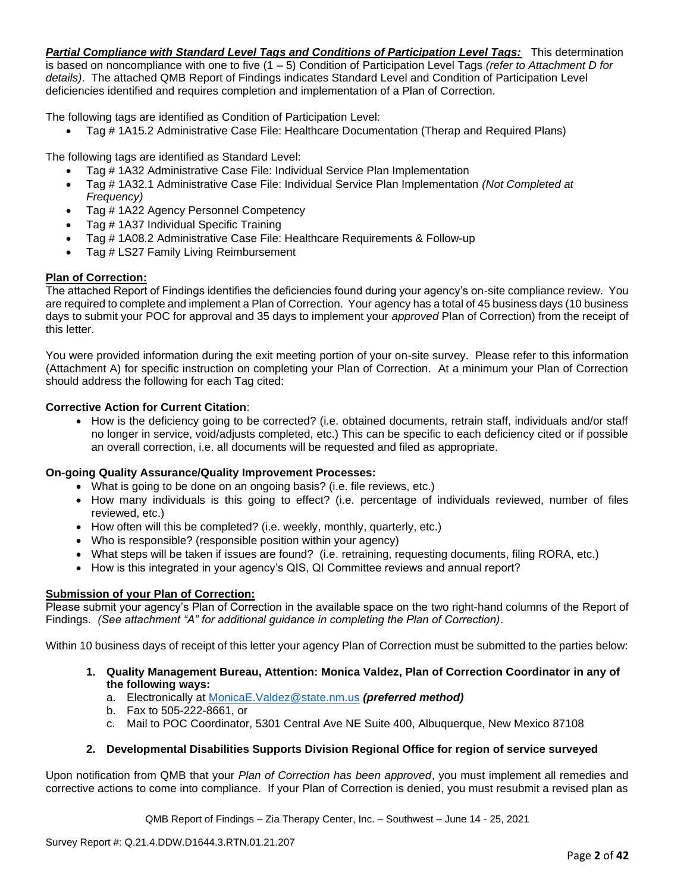*Partial Compliance with Standard Level Tags and Conditions of Participation Level Tags:* This determination is based on noncompliance with one to five (1 – 5) Condition of Participation Level Tags *(refer to Attachment D for details)*. The attached QMB Report of Findings indicates Standard Level and Condition of Participation Level deficiencies identified and requires completion and implementation of a Plan of Correction.

The following tags are identified as Condition of Participation Level:

• Tag # 1A15.2 Administrative Case File: Healthcare Documentation (Therap and Required Plans)

The following tags are identified as Standard Level:

- Tag # 1A32 Administrative Case File: Individual Service Plan Implementation
- Tag # 1A32.1 Administrative Case File: Individual Service Plan Implementation *(Not Completed at Frequency)*
- Tag # 1A22 Agency Personnel Competency
- Tag # 1A37 Individual Specific Training
- Tag # 1A08.2 Administrative Case File: Healthcare Requirements & Follow-up
- Tag # LS27 Family Living Reimbursement

### **Plan of Correction:**

The attached Report of Findings identifies the deficiencies found during your agency's on-site compliance review. You are required to complete and implement a Plan of Correction. Your agency has a total of 45 business days (10 business days to submit your POC for approval and 35 days to implement your *approved* Plan of Correction) from the receipt of this letter.

You were provided information during the exit meeting portion of your on-site survey. Please refer to this information (Attachment A) for specific instruction on completing your Plan of Correction. At a minimum your Plan of Correction should address the following for each Tag cited:

### **Corrective Action for Current Citation**:

• How is the deficiency going to be corrected? (i.e. obtained documents, retrain staff, individuals and/or staff no longer in service, void/adjusts completed, etc.) This can be specific to each deficiency cited or if possible an overall correction, i.e. all documents will be requested and filed as appropriate.

### **On-going Quality Assurance/Quality Improvement Processes:**

- What is going to be done on an ongoing basis? (i.e. file reviews, etc.)
- How many individuals is this going to effect? (i.e. percentage of individuals reviewed, number of files reviewed, etc.)
- How often will this be completed? (i.e. weekly, monthly, quarterly, etc.)
- Who is responsible? (responsible position within your agency)
- What steps will be taken if issues are found? (i.e. retraining, requesting documents, filing RORA, etc.)
- How is this integrated in your agency's QIS, QI Committee reviews and annual report?

### **Submission of your Plan of Correction:**

Please submit your agency's Plan of Correction in the available space on the two right-hand columns of the Report of Findings. *(See attachment "A" for additional guidance in completing the Plan of Correction)*.

Within 10 business days of receipt of this letter your agency Plan of Correction must be submitted to the parties below:

- **1. Quality Management Bureau, Attention: Monica Valdez, Plan of Correction Coordinator in any of the following ways:**
	- a. Electronically at [MonicaE.Valdez@state.nm.us](mailto:MonicaE.Valdez@state.nm.us) *(preferred method)*
	- b. Fax to 505-222-8661, or
	- c. Mail to POC Coordinator, 5301 Central Ave NE Suite 400, Albuquerque, New Mexico 87108

### **2. Developmental Disabilities Supports Division Regional Office for region of service surveyed**

Upon notification from QMB that your *Plan of Correction has been approved*, you must implement all remedies and corrective actions to come into compliance. If your Plan of Correction is denied, you must resubmit a revised plan as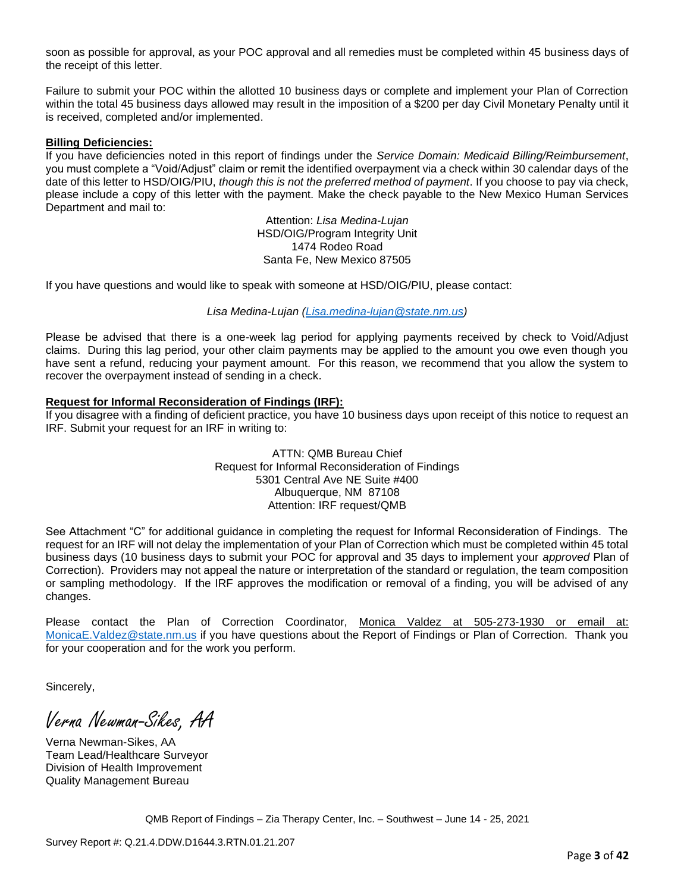soon as possible for approval, as your POC approval and all remedies must be completed within 45 business days of the receipt of this letter.

Failure to submit your POC within the allotted 10 business days or complete and implement your Plan of Correction within the total 45 business days allowed may result in the imposition of a \$200 per day Civil Monetary Penalty until it is received, completed and/or implemented.

#### **Billing Deficiencies:**

If you have deficiencies noted in this report of findings under the *Service Domain: Medicaid Billing/Reimbursement*, you must complete a "Void/Adjust" claim or remit the identified overpayment via a check within 30 calendar days of the date of this letter to HSD/OIG/PIU, *though this is not the preferred method of payment*. If you choose to pay via check, please include a copy of this letter with the payment. Make the check payable to the New Mexico Human Services Department and mail to:

> Attention: *Lisa Medina-Lujan* HSD/OIG/Program Integrity Unit 1474 Rodeo Road Santa Fe, New Mexico 87505

If you have questions and would like to speak with someone at HSD/OIG/PIU, please contact:

*Lisa Medina-Lujan [\(Lisa.medina-lujan@state.nm.us\)](mailto:Lisa.medina-lujan@state.nm.us)*

Please be advised that there is a one-week lag period for applying payments received by check to Void/Adjust claims. During this lag period, your other claim payments may be applied to the amount you owe even though you have sent a refund, reducing your payment amount. For this reason, we recommend that you allow the system to recover the overpayment instead of sending in a check.

#### **Request for Informal Reconsideration of Findings (IRF):**

If you disagree with a finding of deficient practice, you have 10 business days upon receipt of this notice to request an IRF. Submit your request for an IRF in writing to:

> ATTN: QMB Bureau Chief Request for Informal Reconsideration of Findings 5301 Central Ave NE Suite #400 Albuquerque, NM 87108 Attention: IRF request/QMB

See Attachment "C" for additional guidance in completing the request for Informal Reconsideration of Findings. The request for an IRF will not delay the implementation of your Plan of Correction which must be completed within 45 total business days (10 business days to submit your POC for approval and 35 days to implement your *approved* Plan of Correction). Providers may not appeal the nature or interpretation of the standard or regulation, the team composition or sampling methodology. If the IRF approves the modification or removal of a finding, you will be advised of any changes.

Please contact the Plan of Correction Coordinator, Monica Valdez at 505-273-1930 or email at: [MonicaE.Valdez@state.nm.us](mailto:MonicaE.Valdez@state.nm.us) if you have questions about the Report of Findings or Plan of Correction. Thank you for your cooperation and for the work you perform.

Sincerely,

Verna Newman-Sikes, AA

Verna Newman-Sikes, AA Team Lead/Healthcare Surveyor Division of Health Improvement Quality Management Bureau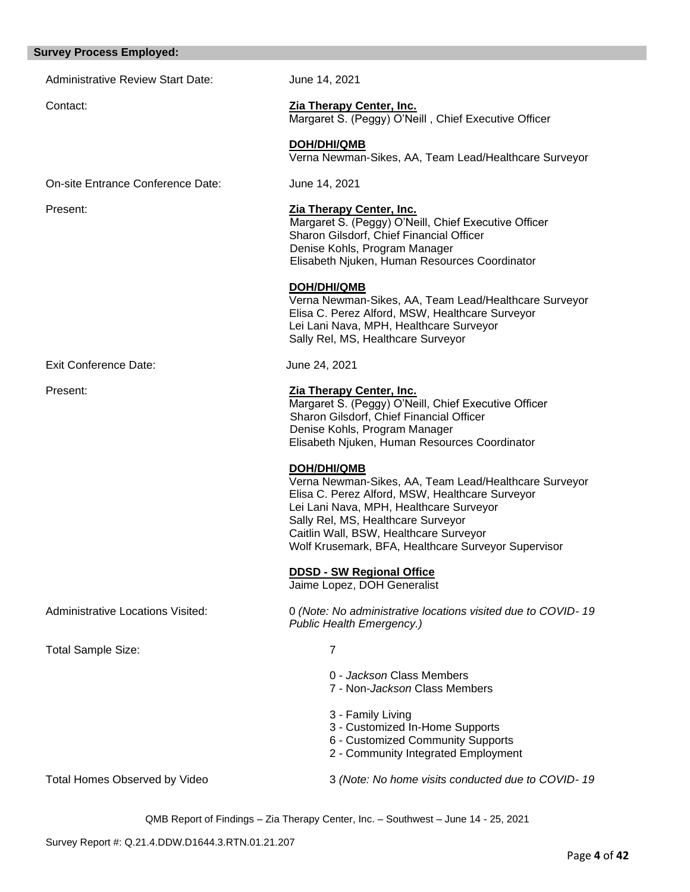#### **Survey Process Employed:**

Administrative Review Start Date: June 14, 2021

### Contact: **Zia Therapy Center, Inc.**

Margaret S. (Peggy) O'Neill , Chief Executive Officer

**DOH/DHI/QMB** Verna Newman-Sikes, AA, Team Lead/Healthcare Surveyor

On-site Entrance Conference Date: June 14, 2021

### Present: **Zia Therapy Center, Inc.**

 Margaret S. (Peggy) O'Neill, Chief Executive Officer Sharon Gilsdorf, Chief Financial Officer Denise Kohls, Program Manager Elisabeth Njuken, Human Resources Coordinator

#### **DOH/DHI/QMB**

Verna Newman-Sikes, AA, Team Lead/Healthcare Surveyor Elisa C. Perez Alford, MSW, Healthcare Surveyor Lei Lani Nava, MPH, Healthcare Surveyor Sally Rel, MS, Healthcare Surveyor

Exit Conference Date: June 24, 2021

#### Present: **Zia Therapy Center, Inc.**

Margaret S. (Peggy) O'Neill, Chief Executive Officer Sharon Gilsdorf, Chief Financial Officer Denise Kohls, Program Manager Elisabeth Njuken, Human Resources Coordinator

#### **DOH/DHI/QMB**

Verna Newman-Sikes, AA, Team Lead/Healthcare Surveyor Elisa C. Perez Alford, MSW, Healthcare Surveyor Lei Lani Nava, MPH, Healthcare Surveyor Sally Rel, MS, Healthcare Surveyor Caitlin Wall, BSW, Healthcare Surveyor Wolf Krusemark, BFA, Healthcare Surveyor Supervisor

#### **DDSD - SW Regional Office**

Jaime Lopez, DOH Generalist

Administrative Locations Visited: 0 *(Note: No administrative locations visited due to COVID- 19 Public Health Emergency.)*

Total Sample Size: 7

- 0 *Jackson* Class Members
- 7 Non-*Jackson* Class Members
- 3 Family Living
- 3 Customized In-Home Supports
- 6 Customized Community Supports
- 2 Community Integrated Employment

Total Homes Observed by Video 3 *(Note: No home visits conducted due to COVID- 19*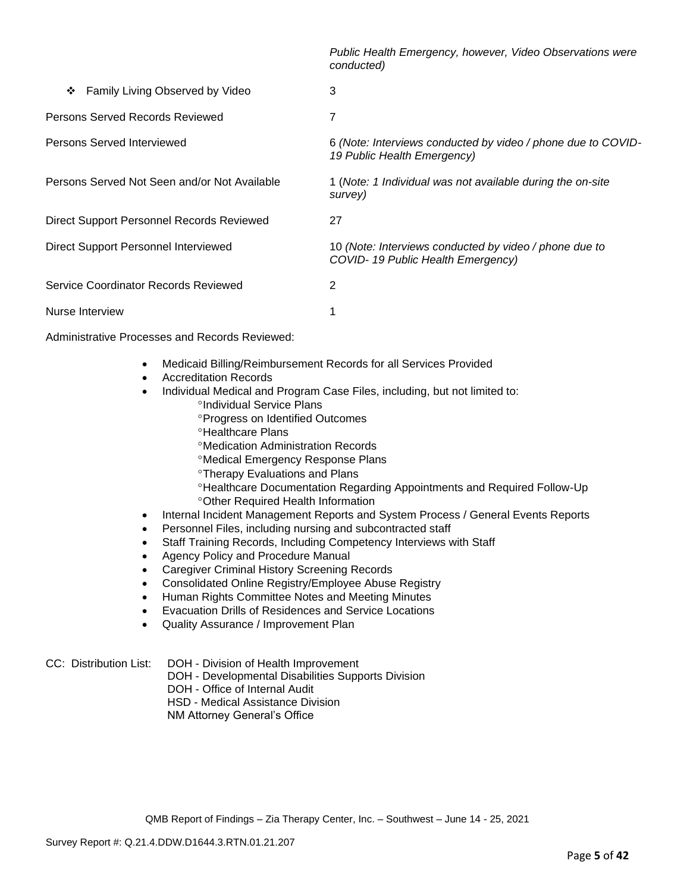*Public Health Emergency, however, Video Observations were conducted)*

| Family Living Observed by Video<br>❖         | 3                                                                                           |
|----------------------------------------------|---------------------------------------------------------------------------------------------|
| Persons Served Records Reviewed              | 7                                                                                           |
| Persons Served Interviewed                   | 6 (Note: Interviews conducted by video / phone due to COVID-<br>19 Public Health Emergency) |
| Persons Served Not Seen and/or Not Available | 1 (Note: 1 Individual was not available during the on-site<br>survey)                       |
| Direct Support Personnel Records Reviewed    | 27                                                                                          |
| Direct Support Personnel Interviewed         | 10 (Note: Interviews conducted by video / phone due to<br>COVID-19 Public Health Emergency) |
| Service Coordinator Records Reviewed         | 2                                                                                           |
| Nurse Interview                              |                                                                                             |

Administrative Processes and Records Reviewed:

- Medicaid Billing/Reimbursement Records for all Services Provided
- Accreditation Records
- Individual Medical and Program Case Files, including, but not limited to:
	- *<sup>o</sup>Individual Service Plans*
	- **Progress on Identified Outcomes**
	- **<sup>o</sup>Healthcare Plans**
	- Medication Administration Records
	- Medical Emergency Response Plans
	- Therapy Evaluations and Plans
	- Healthcare Documentation Regarding Appointments and Required Follow-Up Other Required Health Information
- Internal Incident Management Reports and System Process / General Events Reports
- Personnel Files, including nursing and subcontracted staff
- Staff Training Records, Including Competency Interviews with Staff
- Agency Policy and Procedure Manual
- Caregiver Criminal History Screening Records
- Consolidated Online Registry/Employee Abuse Registry
- Human Rights Committee Notes and Meeting Minutes
- Evacuation Drills of Residences and Service Locations
- Quality Assurance / Improvement Plan

CC: Distribution List: DOH - Division of Health Improvement

- DOH Developmental Disabilities Supports Division
- DOH Office of Internal Audit
- HSD Medical Assistance Division
- NM Attorney General's Office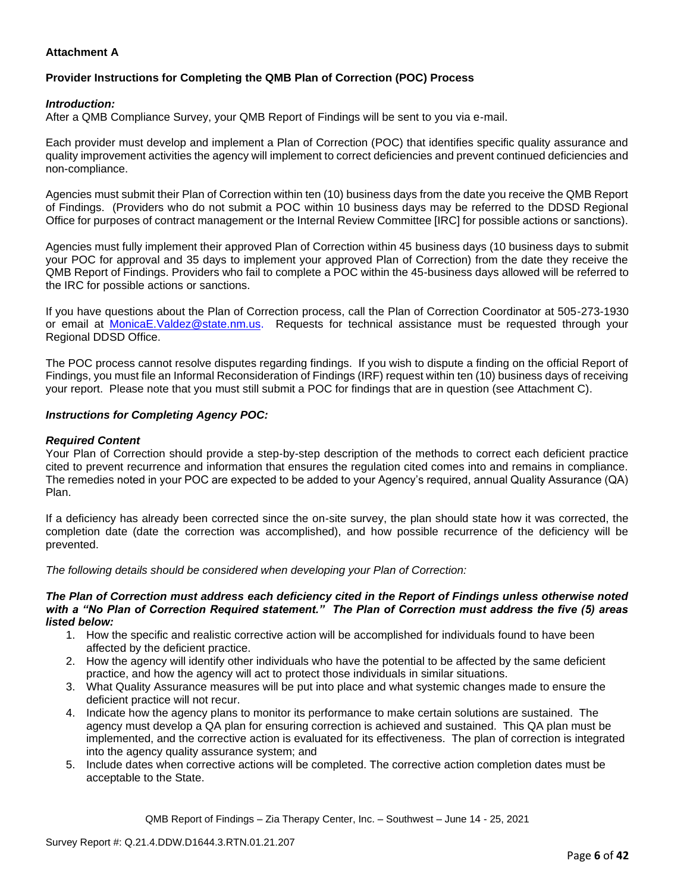### **Attachment A**

### **Provider Instructions for Completing the QMB Plan of Correction (POC) Process**

#### *Introduction:*

After a QMB Compliance Survey, your QMB Report of Findings will be sent to you via e-mail.

Each provider must develop and implement a Plan of Correction (POC) that identifies specific quality assurance and quality improvement activities the agency will implement to correct deficiencies and prevent continued deficiencies and non-compliance.

Agencies must submit their Plan of Correction within ten (10) business days from the date you receive the QMB Report of Findings. (Providers who do not submit a POC within 10 business days may be referred to the DDSD Regional Office for purposes of contract management or the Internal Review Committee [IRC] for possible actions or sanctions).

Agencies must fully implement their approved Plan of Correction within 45 business days (10 business days to submit your POC for approval and 35 days to implement your approved Plan of Correction) from the date they receive the QMB Report of Findings. Providers who fail to complete a POC within the 45-business days allowed will be referred to the IRC for possible actions or sanctions.

If you have questions about the Plan of Correction process, call the Plan of Correction Coordinator at 505-273-1930 or email at [MonicaE.Valdez@state.nm.us.](mailto:MonicaE.Valdez@state.nm.us) Requests for technical assistance must be requested through your Regional DDSD Office.

The POC process cannot resolve disputes regarding findings. If you wish to dispute a finding on the official Report of Findings, you must file an Informal Reconsideration of Findings (IRF) request within ten (10) business days of receiving your report. Please note that you must still submit a POC for findings that are in question (see Attachment C).

#### *Instructions for Completing Agency POC:*

#### *Required Content*

Your Plan of Correction should provide a step-by-step description of the methods to correct each deficient practice cited to prevent recurrence and information that ensures the regulation cited comes into and remains in compliance. The remedies noted in your POC are expected to be added to your Agency's required, annual Quality Assurance (QA) Plan.

If a deficiency has already been corrected since the on-site survey, the plan should state how it was corrected, the completion date (date the correction was accomplished), and how possible recurrence of the deficiency will be prevented.

*The following details should be considered when developing your Plan of Correction:*

#### *The Plan of Correction must address each deficiency cited in the Report of Findings unless otherwise noted with a "No Plan of Correction Required statement." The Plan of Correction must address the five (5) areas listed below:*

- 1. How the specific and realistic corrective action will be accomplished for individuals found to have been affected by the deficient practice.
- 2. How the agency will identify other individuals who have the potential to be affected by the same deficient practice, and how the agency will act to protect those individuals in similar situations.
- 3. What Quality Assurance measures will be put into place and what systemic changes made to ensure the deficient practice will not recur.
- 4. Indicate how the agency plans to monitor its performance to make certain solutions are sustained. The agency must develop a QA plan for ensuring correction is achieved and sustained. This QA plan must be implemented, and the corrective action is evaluated for its effectiveness. The plan of correction is integrated into the agency quality assurance system; and
- 5. Include dates when corrective actions will be completed. The corrective action completion dates must be acceptable to the State.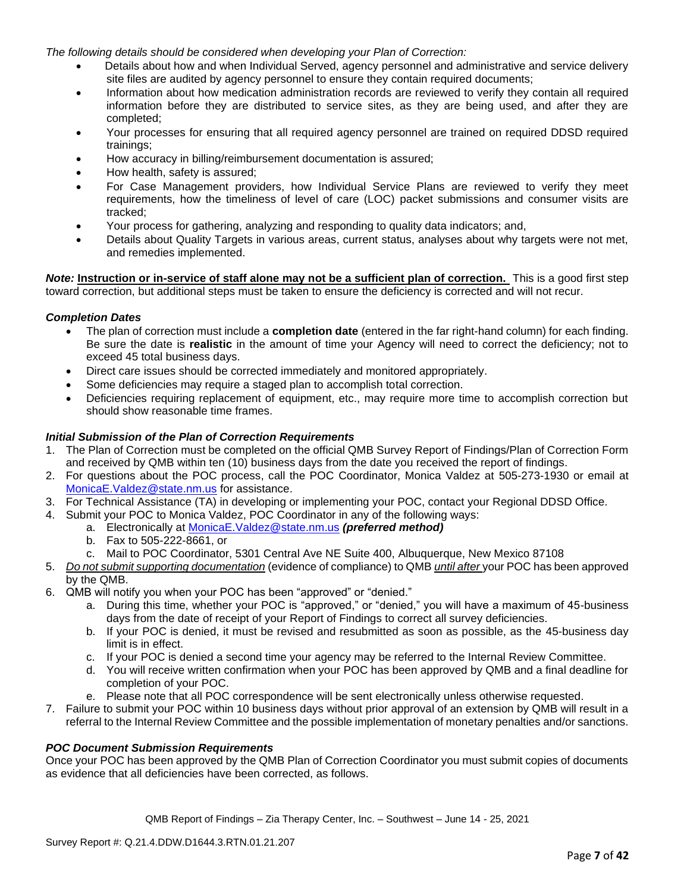*The following details should be considered when developing your Plan of Correction:*

- Details about how and when Individual Served, agency personnel and administrative and service delivery site files are audited by agency personnel to ensure they contain required documents;
- Information about how medication administration records are reviewed to verify they contain all required information before they are distributed to service sites, as they are being used, and after they are completed;
- Your processes for ensuring that all required agency personnel are trained on required DDSD required trainings;
- How accuracy in billing/reimbursement documentation is assured;
- How health, safety is assured;
- For Case Management providers, how Individual Service Plans are reviewed to verify they meet requirements, how the timeliness of level of care (LOC) packet submissions and consumer visits are tracked;
- Your process for gathering, analyzing and responding to quality data indicators; and,
- Details about Quality Targets in various areas, current status, analyses about why targets were not met, and remedies implemented.

*Note:* **Instruction or in-service of staff alone may not be a sufficient plan of correction.** This is a good first step toward correction, but additional steps must be taken to ensure the deficiency is corrected and will not recur.

#### *Completion Dates*

- The plan of correction must include a **completion date** (entered in the far right-hand column) for each finding. Be sure the date is **realistic** in the amount of time your Agency will need to correct the deficiency; not to exceed 45 total business days.
- Direct care issues should be corrected immediately and monitored appropriately.
- Some deficiencies may require a staged plan to accomplish total correction.
- Deficiencies requiring replacement of equipment, etc., may require more time to accomplish correction but should show reasonable time frames.

### *Initial Submission of the Plan of Correction Requirements*

- 1. The Plan of Correction must be completed on the official QMB Survey Report of Findings/Plan of Correction Form and received by QMB within ten (10) business days from the date you received the report of findings.
- 2. For questions about the POC process, call the POC Coordinator, Monica Valdez at 505-273-1930 or email at [MonicaE.Valdez@state.nm.us](mailto:MonicaE.Valdez@state.nm.us) for assistance.
- 3. For Technical Assistance (TA) in developing or implementing your POC, contact your Regional DDSD Office.
- 4. Submit your POC to Monica Valdez, POC Coordinator in any of the following ways:
	- a. Electronically at [MonicaE.Valdez@state.nm.us](mailto:MonicaE.Valdez@state.nm.us) *(preferred method)*
	- b. Fax to 505-222-8661, or
	- c. Mail to POC Coordinator, 5301 Central Ave NE Suite 400, Albuquerque, New Mexico 87108
- 5. *Do not submit supporting documentation* (evidence of compliance) to QMB *until after* your POC has been approved by the QMB.
- 6. QMB will notify you when your POC has been "approved" or "denied."
	- a. During this time, whether your POC is "approved," or "denied," you will have a maximum of 45-business days from the date of receipt of your Report of Findings to correct all survey deficiencies.
	- b. If your POC is denied, it must be revised and resubmitted as soon as possible, as the 45-business day limit is in effect.
	- c. If your POC is denied a second time your agency may be referred to the Internal Review Committee.
	- d. You will receive written confirmation when your POC has been approved by QMB and a final deadline for completion of your POC.
	- e. Please note that all POC correspondence will be sent electronically unless otherwise requested.
- 7. Failure to submit your POC within 10 business days without prior approval of an extension by QMB will result in a referral to the Internal Review Committee and the possible implementation of monetary penalties and/or sanctions.

#### *POC Document Submission Requirements*

Once your POC has been approved by the QMB Plan of Correction Coordinator you must submit copies of documents as evidence that all deficiencies have been corrected, as follows.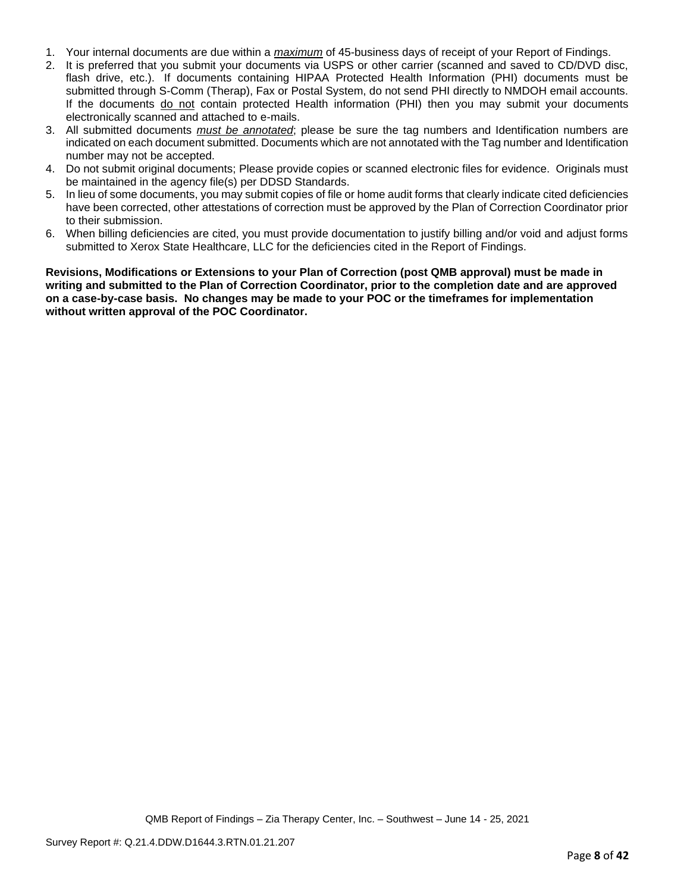- 1. Your internal documents are due within a *maximum* of 45-business days of receipt of your Report of Findings.
- 2. It is preferred that you submit your documents via USPS or other carrier (scanned and saved to CD/DVD disc, flash drive, etc.). If documents containing HIPAA Protected Health Information (PHI) documents must be submitted through S-Comm (Therap), Fax or Postal System, do not send PHI directly to NMDOH email accounts. If the documents do not contain protected Health information (PHI) then you may submit your documents electronically scanned and attached to e-mails.
- 3. All submitted documents *must be annotated*; please be sure the tag numbers and Identification numbers are indicated on each document submitted. Documents which are not annotated with the Tag number and Identification number may not be accepted.
- 4. Do not submit original documents; Please provide copies or scanned electronic files for evidence. Originals must be maintained in the agency file(s) per DDSD Standards.
- 5. In lieu of some documents, you may submit copies of file or home audit forms that clearly indicate cited deficiencies have been corrected, other attestations of correction must be approved by the Plan of Correction Coordinator prior to their submission.
- 6. When billing deficiencies are cited, you must provide documentation to justify billing and/or void and adjust forms submitted to Xerox State Healthcare, LLC for the deficiencies cited in the Report of Findings.

**Revisions, Modifications or Extensions to your Plan of Correction (post QMB approval) must be made in writing and submitted to the Plan of Correction Coordinator, prior to the completion date and are approved on a case-by-case basis. No changes may be made to your POC or the timeframes for implementation without written approval of the POC Coordinator.**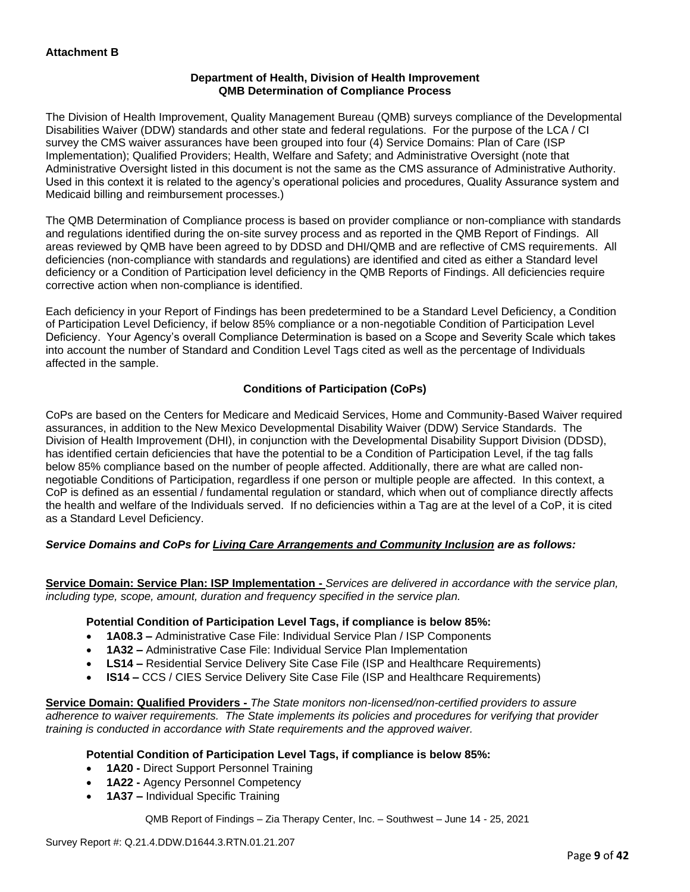### **Department of Health, Division of Health Improvement QMB Determination of Compliance Process**

The Division of Health Improvement, Quality Management Bureau (QMB) surveys compliance of the Developmental Disabilities Waiver (DDW) standards and other state and federal regulations. For the purpose of the LCA / CI survey the CMS waiver assurances have been grouped into four (4) Service Domains: Plan of Care (ISP Implementation); Qualified Providers; Health, Welfare and Safety; and Administrative Oversight (note that Administrative Oversight listed in this document is not the same as the CMS assurance of Administrative Authority. Used in this context it is related to the agency's operational policies and procedures, Quality Assurance system and Medicaid billing and reimbursement processes.)

The QMB Determination of Compliance process is based on provider compliance or non-compliance with standards and regulations identified during the on-site survey process and as reported in the QMB Report of Findings. All areas reviewed by QMB have been agreed to by DDSD and DHI/QMB and are reflective of CMS requirements. All deficiencies (non-compliance with standards and regulations) are identified and cited as either a Standard level deficiency or a Condition of Participation level deficiency in the QMB Reports of Findings. All deficiencies require corrective action when non-compliance is identified.

Each deficiency in your Report of Findings has been predetermined to be a Standard Level Deficiency, a Condition of Participation Level Deficiency, if below 85% compliance or a non-negotiable Condition of Participation Level Deficiency. Your Agency's overall Compliance Determination is based on a Scope and Severity Scale which takes into account the number of Standard and Condition Level Tags cited as well as the percentage of Individuals affected in the sample.

### **Conditions of Participation (CoPs)**

CoPs are based on the Centers for Medicare and Medicaid Services, Home and Community-Based Waiver required assurances, in addition to the New Mexico Developmental Disability Waiver (DDW) Service Standards. The Division of Health Improvement (DHI), in conjunction with the Developmental Disability Support Division (DDSD), has identified certain deficiencies that have the potential to be a Condition of Participation Level, if the tag falls below 85% compliance based on the number of people affected. Additionally, there are what are called nonnegotiable Conditions of Participation, regardless if one person or multiple people are affected. In this context, a CoP is defined as an essential / fundamental regulation or standard, which when out of compliance directly affects the health and welfare of the Individuals served. If no deficiencies within a Tag are at the level of a CoP, it is cited as a Standard Level Deficiency.

### *Service Domains and CoPs for Living Care Arrangements and Community Inclusion are as follows:*

**Service Domain: Service Plan: ISP Implementation -** *Services are delivered in accordance with the service plan, including type, scope, amount, duration and frequency specified in the service plan.*

#### **Potential Condition of Participation Level Tags, if compliance is below 85%:**

- **1A08.3 –** Administrative Case File: Individual Service Plan / ISP Components
- **1A32 –** Administrative Case File: Individual Service Plan Implementation
- **LS14 –** Residential Service Delivery Site Case File (ISP and Healthcare Requirements)
- **IS14 –** CCS / CIES Service Delivery Site Case File (ISP and Healthcare Requirements)

**Service Domain: Qualified Providers -** *The State monitors non-licensed/non-certified providers to assure adherence to waiver requirements. The State implements its policies and procedures for verifying that provider training is conducted in accordance with State requirements and the approved waiver.*

#### **Potential Condition of Participation Level Tags, if compliance is below 85%:**

- **1A20 -** Direct Support Personnel Training
- **1A22 -** Agency Personnel Competency
- **1A37 –** Individual Specific Training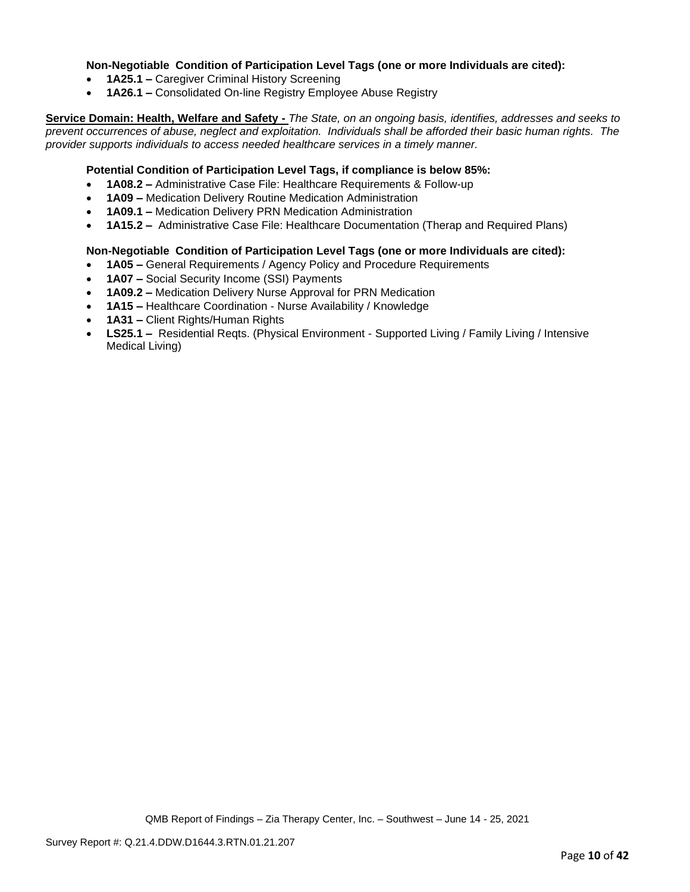### **Non-Negotiable Condition of Participation Level Tags (one or more Individuals are cited):**

- **1A25.1 –** Caregiver Criminal History Screening
- **1A26.1 –** Consolidated On-line Registry Employee Abuse Registry

**Service Domain: Health, Welfare and Safety -** *The State, on an ongoing basis, identifies, addresses and seeks to prevent occurrences of abuse, neglect and exploitation. Individuals shall be afforded their basic human rights. The provider supports individuals to access needed healthcare services in a timely manner.*

#### **Potential Condition of Participation Level Tags, if compliance is below 85%:**

- **1A08.2 –** Administrative Case File: Healthcare Requirements & Follow-up
- **1A09 –** Medication Delivery Routine Medication Administration
- **1A09.1 –** Medication Delivery PRN Medication Administration
- **1A15.2 –** Administrative Case File: Healthcare Documentation (Therap and Required Plans)

#### **Non-Negotiable Condition of Participation Level Tags (one or more Individuals are cited):**

- **1A05 –** General Requirements / Agency Policy and Procedure Requirements
- **1A07 –** Social Security Income (SSI) Payments
- **1A09.2 –** Medication Delivery Nurse Approval for PRN Medication
- **1A15 –** Healthcare Coordination Nurse Availability / Knowledge
- **1A31 –** Client Rights/Human Rights
- **LS25.1 –** Residential Reqts. (Physical Environment Supported Living / Family Living / Intensive Medical Living)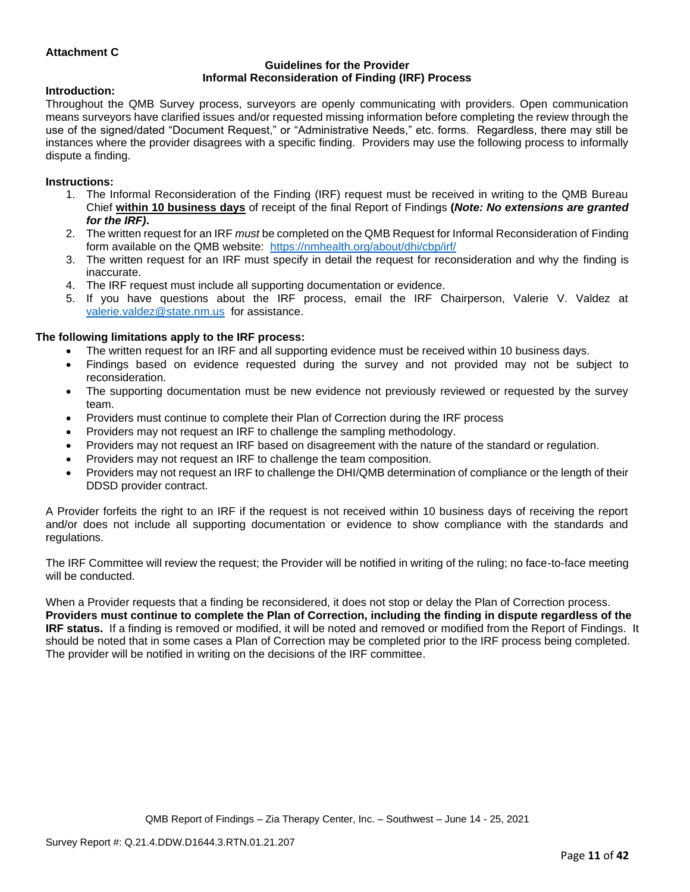### **Attachment C**

#### **Guidelines for the Provider Informal Reconsideration of Finding (IRF) Process**

#### **Introduction:**

Throughout the QMB Survey process, surveyors are openly communicating with providers. Open communication means surveyors have clarified issues and/or requested missing information before completing the review through the use of the signed/dated "Document Request," or "Administrative Needs," etc. forms. Regardless, there may still be instances where the provider disagrees with a specific finding. Providers may use the following process to informally dispute a finding.

#### **Instructions:**

- 1. The Informal Reconsideration of the Finding (IRF) request must be received in writing to the QMB Bureau Chief **within 10 business days** of receipt of the final Report of Findings **(***Note: No extensions are granted for the IRF)***.**
- 2. The written request for an IRF *must* be completed on the QMB Request for Informal Reconsideration of Finding form available on the QMB website: <https://nmhealth.org/about/dhi/cbp/irf/>
- 3. The written request for an IRF must specify in detail the request for reconsideration and why the finding is inaccurate.
- 4. The IRF request must include all supporting documentation or evidence.
- 5. If you have questions about the IRF process, email the IRF Chairperson, Valerie V. Valdez at [valerie.valdez@state.nm.us](mailto:valerie.valdez@state.nm.us) for assistance.

#### **The following limitations apply to the IRF process:**

- The written request for an IRF and all supporting evidence must be received within 10 business days.
- Findings based on evidence requested during the survey and not provided may not be subject to reconsideration.
- The supporting documentation must be new evidence not previously reviewed or requested by the survey team.
- Providers must continue to complete their Plan of Correction during the IRF process
- Providers may not request an IRF to challenge the sampling methodology.
- Providers may not request an IRF based on disagreement with the nature of the standard or regulation.
- Providers may not request an IRF to challenge the team composition.
- Providers may not request an IRF to challenge the DHI/QMB determination of compliance or the length of their DDSD provider contract.

A Provider forfeits the right to an IRF if the request is not received within 10 business days of receiving the report and/or does not include all supporting documentation or evidence to show compliance with the standards and regulations.

The IRF Committee will review the request; the Provider will be notified in writing of the ruling; no face-to-face meeting will be conducted.

When a Provider requests that a finding be reconsidered, it does not stop or delay the Plan of Correction process. **Providers must continue to complete the Plan of Correction, including the finding in dispute regardless of the IRF status.** If a finding is removed or modified, it will be noted and removed or modified from the Report of Findings. It should be noted that in some cases a Plan of Correction may be completed prior to the IRF process being completed. The provider will be notified in writing on the decisions of the IRF committee.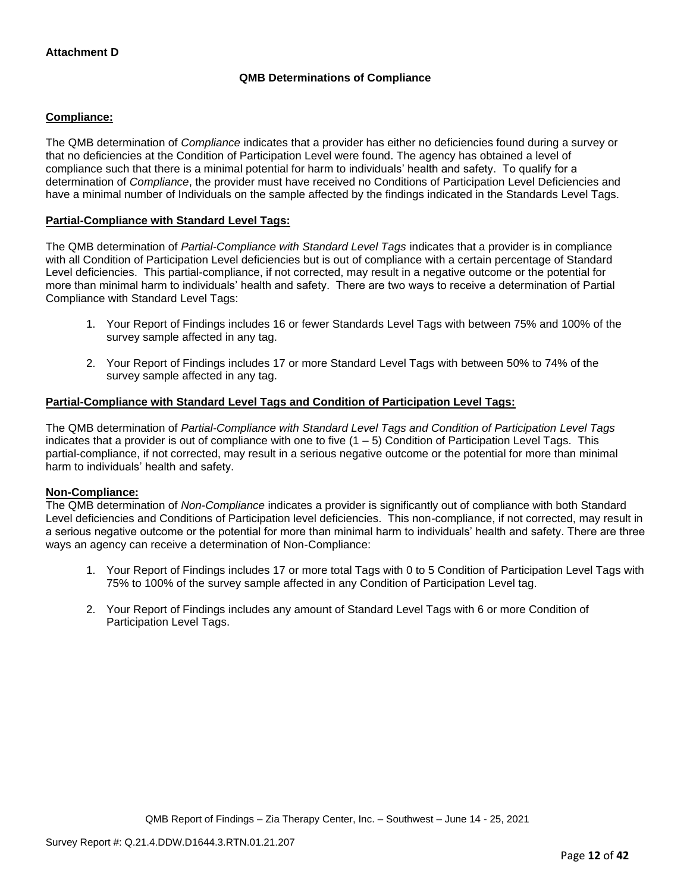### **QMB Determinations of Compliance**

### **Compliance:**

The QMB determination of *Compliance* indicates that a provider has either no deficiencies found during a survey or that no deficiencies at the Condition of Participation Level were found. The agency has obtained a level of compliance such that there is a minimal potential for harm to individuals' health and safety. To qualify for a determination of *Compliance*, the provider must have received no Conditions of Participation Level Deficiencies and have a minimal number of Individuals on the sample affected by the findings indicated in the Standards Level Tags.

### **Partial-Compliance with Standard Level Tags:**

The QMB determination of *Partial-Compliance with Standard Level Tags* indicates that a provider is in compliance with all Condition of Participation Level deficiencies but is out of compliance with a certain percentage of Standard Level deficiencies. This partial-compliance, if not corrected, may result in a negative outcome or the potential for more than minimal harm to individuals' health and safety. There are two ways to receive a determination of Partial Compliance with Standard Level Tags:

- 1. Your Report of Findings includes 16 or fewer Standards Level Tags with between 75% and 100% of the survey sample affected in any tag.
- 2. Your Report of Findings includes 17 or more Standard Level Tags with between 50% to 74% of the survey sample affected in any tag.

### **Partial-Compliance with Standard Level Tags and Condition of Participation Level Tags:**

The QMB determination of *Partial-Compliance with Standard Level Tags and Condition of Participation Level Tags*  indicates that a provider is out of compliance with one to five  $(1 - 5)$  Condition of Participation Level Tags. This partial-compliance, if not corrected, may result in a serious negative outcome or the potential for more than minimal harm to individuals' health and safety.

#### **Non-Compliance:**

The QMB determination of *Non-Compliance* indicates a provider is significantly out of compliance with both Standard Level deficiencies and Conditions of Participation level deficiencies. This non-compliance, if not corrected, may result in a serious negative outcome or the potential for more than minimal harm to individuals' health and safety. There are three ways an agency can receive a determination of Non-Compliance:

- 1. Your Report of Findings includes 17 or more total Tags with 0 to 5 Condition of Participation Level Tags with 75% to 100% of the survey sample affected in any Condition of Participation Level tag.
- 2. Your Report of Findings includes any amount of Standard Level Tags with 6 or more Condition of Participation Level Tags.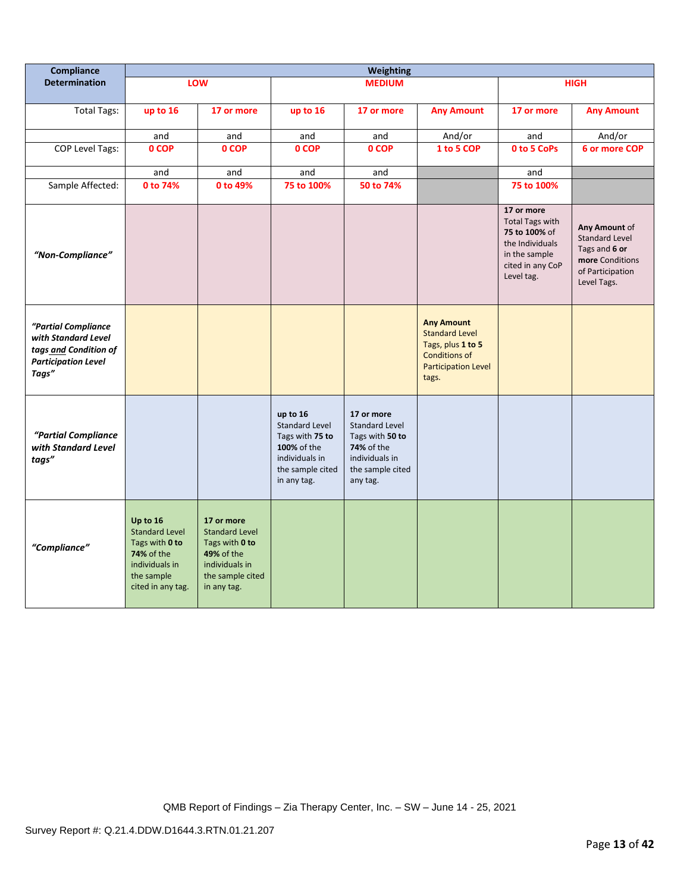| Compliance                                                                                                 | <b>Weighting</b>                                                                                                              |                                                                                                                          |                                                                                                                          |                                                                                                                        |                                                                                                                                |                                                                                                                             |                                                                                                               |
|------------------------------------------------------------------------------------------------------------|-------------------------------------------------------------------------------------------------------------------------------|--------------------------------------------------------------------------------------------------------------------------|--------------------------------------------------------------------------------------------------------------------------|------------------------------------------------------------------------------------------------------------------------|--------------------------------------------------------------------------------------------------------------------------------|-----------------------------------------------------------------------------------------------------------------------------|---------------------------------------------------------------------------------------------------------------|
| <b>Determination</b>                                                                                       |                                                                                                                               | LOW                                                                                                                      |                                                                                                                          | <b>MEDIUM</b>                                                                                                          |                                                                                                                                |                                                                                                                             | <b>HIGH</b>                                                                                                   |
| <b>Total Tags:</b>                                                                                         | up to 16                                                                                                                      | 17 or more                                                                                                               | up to 16                                                                                                                 | 17 or more                                                                                                             | <b>Any Amount</b>                                                                                                              | 17 or more                                                                                                                  | <b>Any Amount</b>                                                                                             |
|                                                                                                            | and                                                                                                                           | and                                                                                                                      | and                                                                                                                      | and                                                                                                                    | And/or                                                                                                                         | and                                                                                                                         | And/or                                                                                                        |
| <b>COP Level Tags:</b>                                                                                     | 0 COP                                                                                                                         | 0 COP                                                                                                                    | 0 COP                                                                                                                    | 0 COP                                                                                                                  | 1 to 5 COP                                                                                                                     | 0 to 5 CoPs                                                                                                                 | 6 or more COP                                                                                                 |
|                                                                                                            | and                                                                                                                           | and                                                                                                                      | and                                                                                                                      | and                                                                                                                    |                                                                                                                                | and                                                                                                                         |                                                                                                               |
| Sample Affected:                                                                                           | 0 to 74%                                                                                                                      | 0 to 49%                                                                                                                 | 75 to 100%                                                                                                               | 50 to 74%                                                                                                              |                                                                                                                                | 75 to 100%                                                                                                                  |                                                                                                               |
| "Non-Compliance"                                                                                           |                                                                                                                               |                                                                                                                          |                                                                                                                          |                                                                                                                        |                                                                                                                                | 17 or more<br><b>Total Tags with</b><br>75 to 100% of<br>the Individuals<br>in the sample<br>cited in any CoP<br>Level tag. | Any Amount of<br><b>Standard Level</b><br>Tags and 6 or<br>more Conditions<br>of Participation<br>Level Tags. |
| "Partial Compliance<br>with Standard Level<br>tags and Condition of<br><b>Participation Level</b><br>Tags" |                                                                                                                               |                                                                                                                          |                                                                                                                          |                                                                                                                        | <b>Any Amount</b><br><b>Standard Level</b><br>Tags, plus 1 to 5<br><b>Conditions of</b><br><b>Participation Level</b><br>tags. |                                                                                                                             |                                                                                                               |
| "Partial Compliance<br>with Standard Level<br>tags"                                                        |                                                                                                                               |                                                                                                                          | up to 16<br><b>Standard Level</b><br>Tags with 75 to<br>100% of the<br>individuals in<br>the sample cited<br>in any tag. | 17 or more<br><b>Standard Level</b><br>Tags with 50 to<br>74% of the<br>individuals in<br>the sample cited<br>any tag. |                                                                                                                                |                                                                                                                             |                                                                                                               |
| "Compliance"                                                                                               | Up to 16<br><b>Standard Level</b><br>Tags with 0 to<br><b>74% of the</b><br>individuals in<br>the sample<br>cited in any tag. | 17 or more<br><b>Standard Level</b><br>Tags with 0 to<br>49% of the<br>individuals in<br>the sample cited<br>in any tag. |                                                                                                                          |                                                                                                                        |                                                                                                                                |                                                                                                                             |                                                                                                               |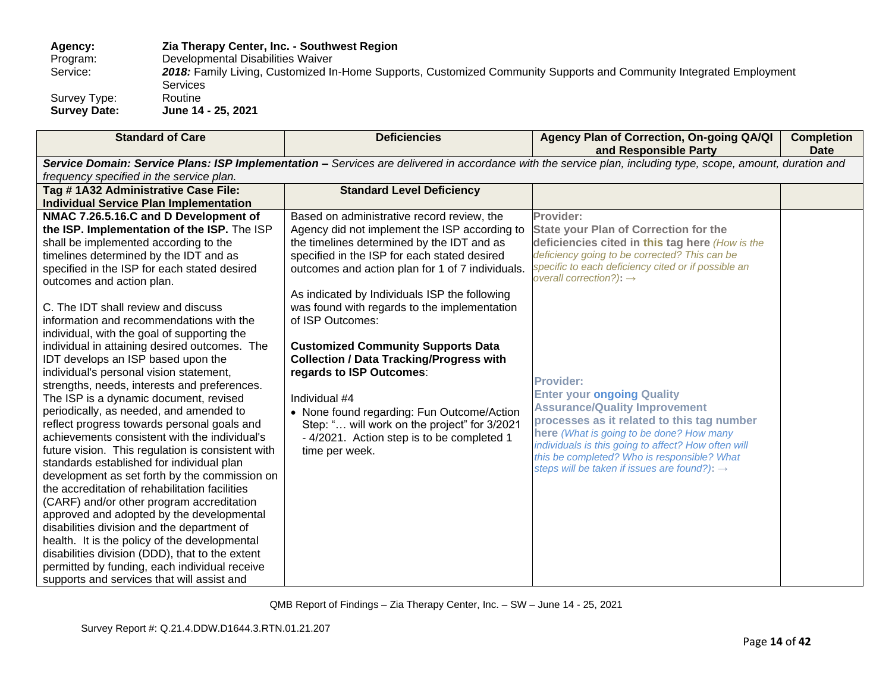## **Agency: Zia Therapy Center, Inc. - Southwest Region** Program: Developmental Disabilities Waiver<br>Service: 2018: Family Living, Customized In 2018: Family Living, Customized In-Home Supports, Customized Community Supports and Community Integrated Employment Services<br>Routine Survey Type:<br>Survey Date:

**Survey Date: June 14 - 25, 2021**

| <b>Standard of Care</b>                                                                | <b>Deficiencies</b>                                                                        | Agency Plan of Correction, On-going QA/QI<br>and Responsible Party                                                                                          | <b>Completion</b><br><b>Date</b> |
|----------------------------------------------------------------------------------------|--------------------------------------------------------------------------------------------|-------------------------------------------------------------------------------------------------------------------------------------------------------------|----------------------------------|
|                                                                                        |                                                                                            | Service Domain: Service Plans: ISP Implementation - Services are delivered in accordance with the service plan, including type, scope, amount, duration and |                                  |
| frequency specified in the service plan.                                               |                                                                                            |                                                                                                                                                             |                                  |
| Tag # 1A32 Administrative Case File:                                                   | <b>Standard Level Deficiency</b>                                                           |                                                                                                                                                             |                                  |
| <b>Individual Service Plan Implementation</b>                                          |                                                                                            |                                                                                                                                                             |                                  |
| NMAC 7.26.5.16.C and D Development of                                                  | Based on administrative record review, the                                                 | Provider:                                                                                                                                                   |                                  |
| the ISP. Implementation of the ISP. The ISP                                            | Agency did not implement the ISP according to                                              | <b>State your Plan of Correction for the</b>                                                                                                                |                                  |
| shall be implemented according to the                                                  | the timelines determined by the IDT and as                                                 | deficiencies cited in this tag here (How is the                                                                                                             |                                  |
| timelines determined by the IDT and as                                                 | specified in the ISP for each stated desired                                               | deficiency going to be corrected? This can be                                                                                                               |                                  |
| specified in the ISP for each stated desired                                           | outcomes and action plan for 1 of 7 individuals.                                           | specific to each deficiency cited or if possible an                                                                                                         |                                  |
| outcomes and action plan.                                                              |                                                                                            | overall correction?): $\rightarrow$                                                                                                                         |                                  |
|                                                                                        | As indicated by Individuals ISP the following                                              |                                                                                                                                                             |                                  |
| C. The IDT shall review and discuss                                                    | was found with regards to the implementation                                               |                                                                                                                                                             |                                  |
| information and recommendations with the                                               | of ISP Outcomes:                                                                           |                                                                                                                                                             |                                  |
| individual, with the goal of supporting the                                            |                                                                                            |                                                                                                                                                             |                                  |
| individual in attaining desired outcomes. The                                          | <b>Customized Community Supports Data</b>                                                  |                                                                                                                                                             |                                  |
| IDT develops an ISP based upon the                                                     | <b>Collection / Data Tracking/Progress with</b>                                            |                                                                                                                                                             |                                  |
| individual's personal vision statement,                                                | regards to ISP Outcomes:                                                                   | <b>Provider:</b>                                                                                                                                            |                                  |
| strengths, needs, interests and preferences.<br>The ISP is a dynamic document, revised | Individual #4                                                                              | <b>Enter your ongoing Quality</b>                                                                                                                           |                                  |
| periodically, as needed, and amended to                                                |                                                                                            | <b>Assurance/Quality Improvement</b>                                                                                                                        |                                  |
| reflect progress towards personal goals and                                            | • None found regarding: Fun Outcome/Action<br>Step: " will work on the project" for 3/2021 | processes as it related to this tag number                                                                                                                  |                                  |
| achievements consistent with the individual's                                          | - 4/2021. Action step is to be completed 1                                                 | here (What is going to be done? How many                                                                                                                    |                                  |
| future vision. This regulation is consistent with                                      | time per week.                                                                             | individuals is this going to affect? How often will                                                                                                         |                                  |
| standards established for individual plan                                              |                                                                                            | this be completed? Who is responsible? What                                                                                                                 |                                  |
| development as set forth by the commission on                                          |                                                                                            | steps will be taken if issues are found?): $\rightarrow$                                                                                                    |                                  |
| the accreditation of rehabilitation facilities                                         |                                                                                            |                                                                                                                                                             |                                  |
| (CARF) and/or other program accreditation                                              |                                                                                            |                                                                                                                                                             |                                  |
| approved and adopted by the developmental                                              |                                                                                            |                                                                                                                                                             |                                  |
| disabilities division and the department of                                            |                                                                                            |                                                                                                                                                             |                                  |
| health. It is the policy of the developmental                                          |                                                                                            |                                                                                                                                                             |                                  |
| disabilities division (DDD), that to the extent                                        |                                                                                            |                                                                                                                                                             |                                  |
| permitted by funding, each individual receive                                          |                                                                                            |                                                                                                                                                             |                                  |
| supports and services that will assist and                                             |                                                                                            |                                                                                                                                                             |                                  |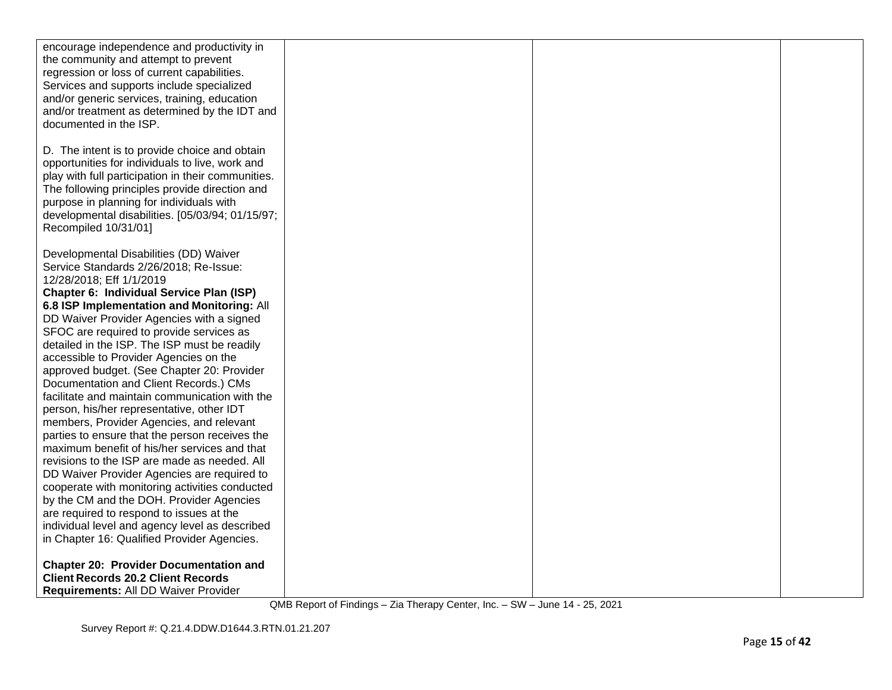| encourage independence and productivity in<br>the community and attempt to prevent             |  |  |
|------------------------------------------------------------------------------------------------|--|--|
| regression or loss of current capabilities.                                                    |  |  |
| Services and supports include specialized                                                      |  |  |
| and/or generic services, training, education                                                   |  |  |
| and/or treatment as determined by the IDT and                                                  |  |  |
| documented in the ISP.                                                                         |  |  |
|                                                                                                |  |  |
| D. The intent is to provide choice and obtain                                                  |  |  |
| opportunities for individuals to live, work and                                                |  |  |
| play with full participation in their communities.                                             |  |  |
| The following principles provide direction and                                                 |  |  |
| purpose in planning for individuals with                                                       |  |  |
| developmental disabilities. [05/03/94; 01/15/97;                                               |  |  |
| Recompiled 10/31/01]                                                                           |  |  |
| Developmental Disabilities (DD) Waiver                                                         |  |  |
| Service Standards 2/26/2018; Re-Issue:                                                         |  |  |
| 12/28/2018; Eff 1/1/2019                                                                       |  |  |
| Chapter 6: Individual Service Plan (ISP)                                                       |  |  |
| 6.8 ISP Implementation and Monitoring: All                                                     |  |  |
| DD Waiver Provider Agencies with a signed                                                      |  |  |
| SFOC are required to provide services as                                                       |  |  |
| detailed in the ISP. The ISP must be readily                                                   |  |  |
| accessible to Provider Agencies on the                                                         |  |  |
| approved budget. (See Chapter 20: Provider                                                     |  |  |
| Documentation and Client Records.) CMs                                                         |  |  |
| facilitate and maintain communication with the                                                 |  |  |
| person, his/her representative, other IDT                                                      |  |  |
| members, Provider Agencies, and relevant                                                       |  |  |
| parties to ensure that the person receives the<br>maximum benefit of his/her services and that |  |  |
| revisions to the ISP are made as needed. All                                                   |  |  |
| DD Waiver Provider Agencies are required to                                                    |  |  |
| cooperate with monitoring activities conducted                                                 |  |  |
| by the CM and the DOH. Provider Agencies                                                       |  |  |
| are required to respond to issues at the                                                       |  |  |
| individual level and agency level as described                                                 |  |  |
| in Chapter 16: Qualified Provider Agencies.                                                    |  |  |
|                                                                                                |  |  |
| <b>Chapter 20: Provider Documentation and</b>                                                  |  |  |
| <b>Client Records 20.2 Client Records</b>                                                      |  |  |
| Requirements: All DD Waiver Provider                                                           |  |  |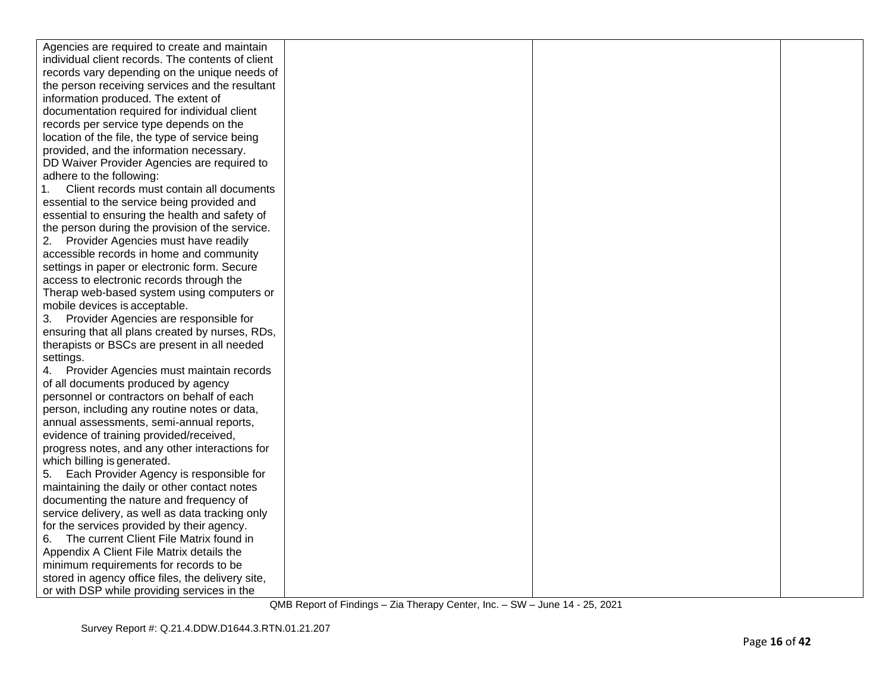| Agencies are required to create and maintain      |  |  |
|---------------------------------------------------|--|--|
| individual client records. The contents of client |  |  |
| records vary depending on the unique needs of     |  |  |
| the person receiving services and the resultant   |  |  |
| information produced. The extent of               |  |  |
| documentation required for individual client      |  |  |
| records per service type depends on the           |  |  |
| location of the file, the type of service being   |  |  |
| provided, and the information necessary.          |  |  |
| DD Waiver Provider Agencies are required to       |  |  |
| adhere to the following:                          |  |  |
| Client records must contain all documents         |  |  |
| essential to the service being provided and       |  |  |
| essential to ensuring the health and safety of    |  |  |
| the person during the provision of the service.   |  |  |
| 2.<br>Provider Agencies must have readily         |  |  |
| accessible records in home and community          |  |  |
| settings in paper or electronic form. Secure      |  |  |
| access to electronic records through the          |  |  |
| Therap web-based system using computers or        |  |  |
| mobile devices is acceptable.                     |  |  |
| 3. Provider Agencies are responsible for          |  |  |
| ensuring that all plans created by nurses, RDs,   |  |  |
| therapists or BSCs are present in all needed      |  |  |
| settings.                                         |  |  |
| Provider Agencies must maintain records           |  |  |
| of all documents produced by agency               |  |  |
| personnel or contractors on behalf of each        |  |  |
| person, including any routine notes or data,      |  |  |
| annual assessments, semi-annual reports,          |  |  |
| evidence of training provided/received,           |  |  |
| progress notes, and any other interactions for    |  |  |
| which billing is generated.                       |  |  |
| Each Provider Agency is responsible for<br>5.     |  |  |
| maintaining the daily or other contact notes      |  |  |
| documenting the nature and frequency of           |  |  |
| service delivery, as well as data tracking only   |  |  |
| for the services provided by their agency.        |  |  |
| The current Client File Matrix found in<br>6.     |  |  |
| Appendix A Client File Matrix details the         |  |  |
| minimum requirements for records to be            |  |  |
| stored in agency office files, the delivery site, |  |  |
| or with DSP while providing services in the       |  |  |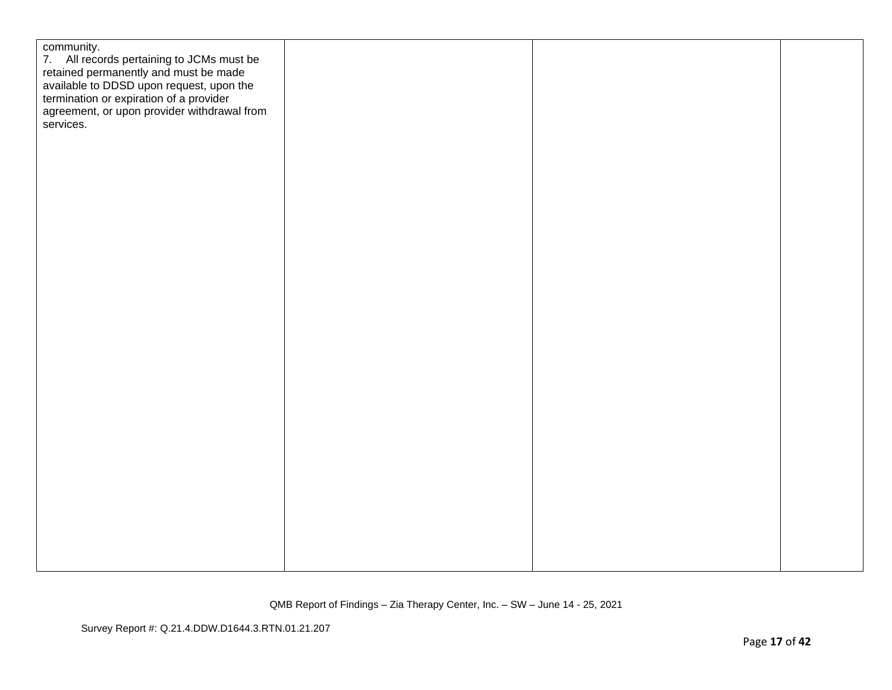| community.<br>7. All records pertaining to JCMs must be<br>retained permanently and must be made<br>available to DDSD upon request, upon the<br>termination or expiration of a provider<br>agreement, or upon provider withdrawal from<br>services. |  |  |
|-----------------------------------------------------------------------------------------------------------------------------------------------------------------------------------------------------------------------------------------------------|--|--|
|                                                                                                                                                                                                                                                     |  |  |
|                                                                                                                                                                                                                                                     |  |  |
|                                                                                                                                                                                                                                                     |  |  |
|                                                                                                                                                                                                                                                     |  |  |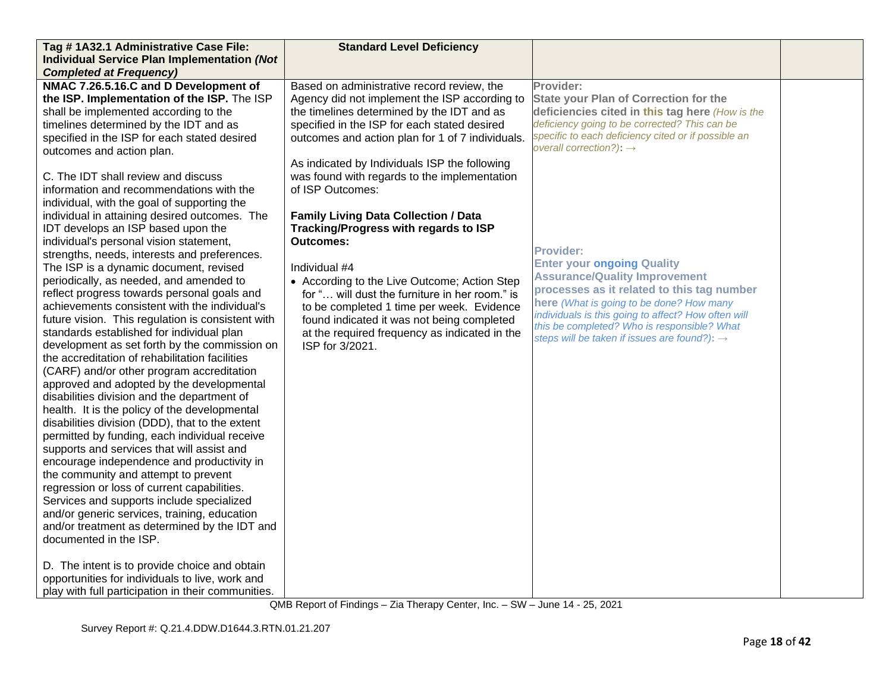| Tag #1A32.1 Administrative Case File:              | <b>Standard Level Deficiency</b>                 |                                                                                                 |  |
|----------------------------------------------------|--------------------------------------------------|-------------------------------------------------------------------------------------------------|--|
| <b>Individual Service Plan Implementation (Not</b> |                                                  |                                                                                                 |  |
| <b>Completed at Frequency)</b>                     |                                                  |                                                                                                 |  |
| NMAC 7.26.5.16.C and D Development of              | Based on administrative record review, the       | Provider:                                                                                       |  |
| the ISP. Implementation of the ISP. The ISP        | Agency did not implement the ISP according to    | <b>State your Plan of Correction for the</b>                                                    |  |
| shall be implemented according to the              | the timelines determined by the IDT and as       | deficiencies cited in this tag here (How is the                                                 |  |
| timelines determined by the IDT and as             | specified in the ISP for each stated desired     | deficiency going to be corrected? This can be                                                   |  |
| specified in the ISP for each stated desired       | outcomes and action plan for 1 of 7 individuals. | specific to each deficiency cited or if possible an                                             |  |
| outcomes and action plan.                          |                                                  | overall correction?): $\rightarrow$                                                             |  |
|                                                    | As indicated by Individuals ISP the following    |                                                                                                 |  |
| C. The IDT shall review and discuss                | was found with regards to the implementation     |                                                                                                 |  |
| information and recommendations with the           | of ISP Outcomes:                                 |                                                                                                 |  |
| individual, with the goal of supporting the        |                                                  |                                                                                                 |  |
| individual in attaining desired outcomes. The      | <b>Family Living Data Collection / Data</b>      |                                                                                                 |  |
| IDT develops an ISP based upon the                 | Tracking/Progress with regards to ISP            |                                                                                                 |  |
| individual's personal vision statement,            | <b>Outcomes:</b>                                 |                                                                                                 |  |
| strengths, needs, interests and preferences.       |                                                  | <b>Provider:</b>                                                                                |  |
| The ISP is a dynamic document, revised             | Individual #4                                    | <b>Enter your ongoing Quality</b>                                                               |  |
| periodically, as needed, and amended to            | • According to the Live Outcome; Action Step     | <b>Assurance/Quality Improvement</b>                                                            |  |
| reflect progress towards personal goals and        | for " will dust the furniture in her room." is   | processes as it related to this tag number                                                      |  |
| achievements consistent with the individual's      | to be completed 1 time per week. Evidence        | here (What is going to be done? How many<br>individuals is this going to affect? How often will |  |
| future vision. This regulation is consistent with  | found indicated it was not being completed       | this be completed? Who is responsible? What                                                     |  |
| standards established for individual plan          | at the required frequency as indicated in the    | steps will be taken if issues are found?): $\rightarrow$                                        |  |
| development as set forth by the commission on      | ISP for 3/2021.                                  |                                                                                                 |  |
| the accreditation of rehabilitation facilities     |                                                  |                                                                                                 |  |
| (CARF) and/or other program accreditation          |                                                  |                                                                                                 |  |
| approved and adopted by the developmental          |                                                  |                                                                                                 |  |
| disabilities division and the department of        |                                                  |                                                                                                 |  |
| health. It is the policy of the developmental      |                                                  |                                                                                                 |  |
| disabilities division (DDD), that to the extent    |                                                  |                                                                                                 |  |
| permitted by funding, each individual receive      |                                                  |                                                                                                 |  |
| supports and services that will assist and         |                                                  |                                                                                                 |  |
| encourage independence and productivity in         |                                                  |                                                                                                 |  |
| the community and attempt to prevent               |                                                  |                                                                                                 |  |
| regression or loss of current capabilities.        |                                                  |                                                                                                 |  |
| Services and supports include specialized          |                                                  |                                                                                                 |  |
| and/or generic services, training, education       |                                                  |                                                                                                 |  |
| and/or treatment as determined by the IDT and      |                                                  |                                                                                                 |  |
| documented in the ISP.                             |                                                  |                                                                                                 |  |
|                                                    |                                                  |                                                                                                 |  |
| D. The intent is to provide choice and obtain      |                                                  |                                                                                                 |  |
| opportunities for individuals to live, work and    |                                                  |                                                                                                 |  |
| play with full participation in their communities. |                                                  |                                                                                                 |  |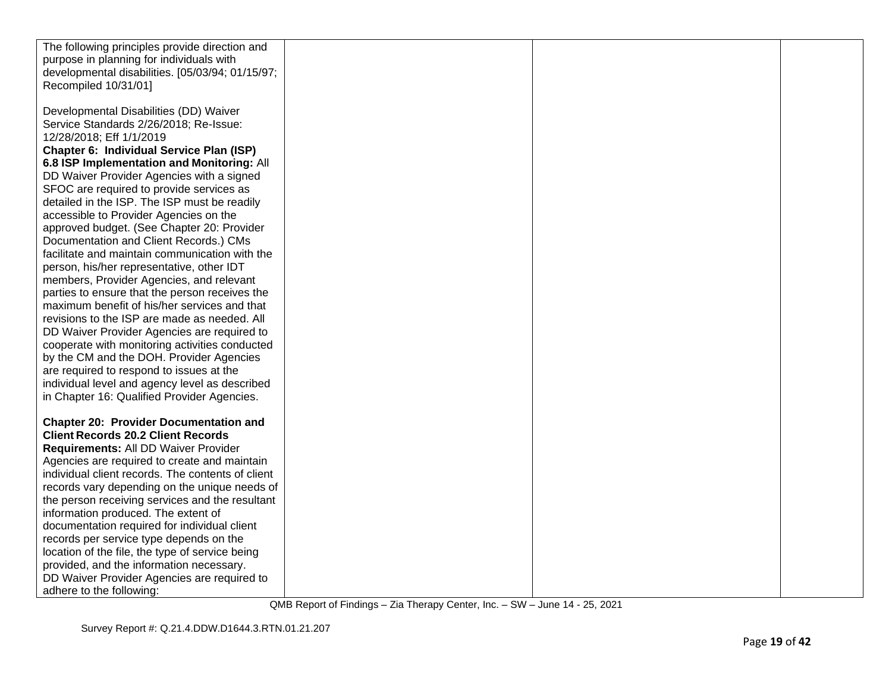| The following principles provide direction and    |  |  |
|---------------------------------------------------|--|--|
| purpose in planning for individuals with          |  |  |
| developmental disabilities. [05/03/94; 01/15/97;  |  |  |
| Recompiled 10/31/01]                              |  |  |
|                                                   |  |  |
| Developmental Disabilities (DD) Waiver            |  |  |
| Service Standards 2/26/2018; Re-Issue:            |  |  |
| 12/28/2018; Eff 1/1/2019                          |  |  |
|                                                   |  |  |
| Chapter 6: Individual Service Plan (ISP)          |  |  |
| 6.8 ISP Implementation and Monitoring: All        |  |  |
| DD Waiver Provider Agencies with a signed         |  |  |
| SFOC are required to provide services as          |  |  |
| detailed in the ISP. The ISP must be readily      |  |  |
| accessible to Provider Agencies on the            |  |  |
| approved budget. (See Chapter 20: Provider        |  |  |
| Documentation and Client Records.) CMs            |  |  |
| facilitate and maintain communication with the    |  |  |
| person, his/her representative, other IDT         |  |  |
| members, Provider Agencies, and relevant          |  |  |
| parties to ensure that the person receives the    |  |  |
| maximum benefit of his/her services and that      |  |  |
| revisions to the ISP are made as needed. All      |  |  |
| DD Waiver Provider Agencies are required to       |  |  |
| cooperate with monitoring activities conducted    |  |  |
| by the CM and the DOH. Provider Agencies          |  |  |
| are required to respond to issues at the          |  |  |
| individual level and agency level as described    |  |  |
| in Chapter 16: Qualified Provider Agencies.       |  |  |
|                                                   |  |  |
| <b>Chapter 20: Provider Documentation and</b>     |  |  |
| <b>Client Records 20.2 Client Records</b>         |  |  |
| Requirements: All DD Waiver Provider              |  |  |
| Agencies are required to create and maintain      |  |  |
| individual client records. The contents of client |  |  |
| records vary depending on the unique needs of     |  |  |
| the person receiving services and the resultant   |  |  |
| information produced. The extent of               |  |  |
| documentation required for individual client      |  |  |
| records per service type depends on the           |  |  |
| location of the file, the type of service being   |  |  |
| provided, and the information necessary.          |  |  |
|                                                   |  |  |
| DD Waiver Provider Agencies are required to       |  |  |
| adhere to the following:                          |  |  |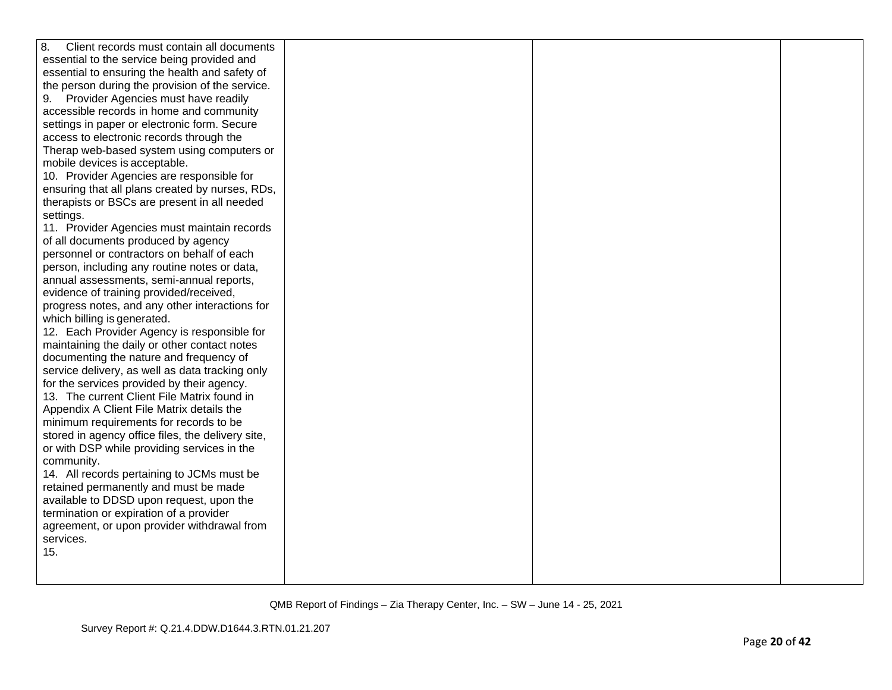| 8.<br>Client records must contain all documents   |  |  |
|---------------------------------------------------|--|--|
| essential to the service being provided and       |  |  |
| essential to ensuring the health and safety of    |  |  |
| the person during the provision of the service.   |  |  |
| Provider Agencies must have readily<br>9.         |  |  |
| accessible records in home and community          |  |  |
| settings in paper or electronic form. Secure      |  |  |
| access to electronic records through the          |  |  |
| Therap web-based system using computers or        |  |  |
| mobile devices is acceptable.                     |  |  |
| 10. Provider Agencies are responsible for         |  |  |
| ensuring that all plans created by nurses, RDs,   |  |  |
| therapists or BSCs are present in all needed      |  |  |
| settings.                                         |  |  |
| 11. Provider Agencies must maintain records       |  |  |
| of all documents produced by agency               |  |  |
| personnel or contractors on behalf of each        |  |  |
| person, including any routine notes or data,      |  |  |
| annual assessments, semi-annual reports,          |  |  |
| evidence of training provided/received,           |  |  |
| progress notes, and any other interactions for    |  |  |
| which billing is generated.                       |  |  |
| 12. Each Provider Agency is responsible for       |  |  |
| maintaining the daily or other contact notes      |  |  |
| documenting the nature and frequency of           |  |  |
| service delivery, as well as data tracking only   |  |  |
| for the services provided by their agency.        |  |  |
| 13. The current Client File Matrix found in       |  |  |
| Appendix A Client File Matrix details the         |  |  |
| minimum requirements for records to be            |  |  |
| stored in agency office files, the delivery site, |  |  |
| or with DSP while providing services in the       |  |  |
| community.                                        |  |  |
| 14. All records pertaining to JCMs must be        |  |  |
| retained permanently and must be made             |  |  |
| available to DDSD upon request, upon the          |  |  |
| termination or expiration of a provider           |  |  |
| agreement, or upon provider withdrawal from       |  |  |
| services.                                         |  |  |
| 15.                                               |  |  |
|                                                   |  |  |
|                                                   |  |  |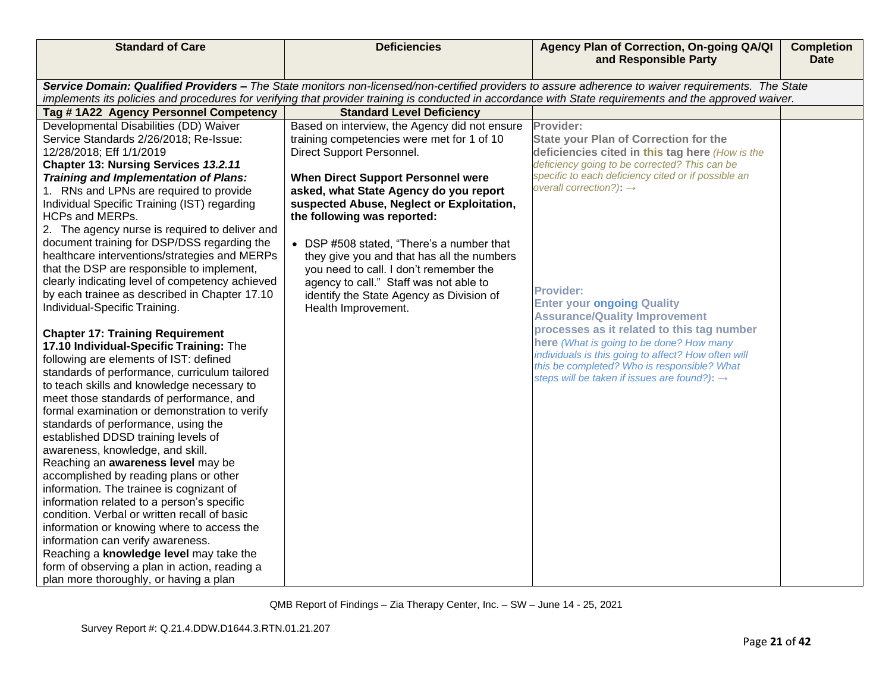| <b>Standard of Care</b>                                                                 | <b>Deficiencies</b>                                                                 | Agency Plan of Correction, On-going QA/QI<br>and Responsible Party                                                                                      | <b>Completion</b><br><b>Date</b> |
|-----------------------------------------------------------------------------------------|-------------------------------------------------------------------------------------|---------------------------------------------------------------------------------------------------------------------------------------------------------|----------------------------------|
|                                                                                         |                                                                                     | Service Domain: Qualified Providers - The State monitors non-licensed/non-certified providers to assure adherence to waiver requirements. The State     |                                  |
|                                                                                         |                                                                                     | implements its policies and procedures for verifying that provider training is conducted in accordance with State requirements and the approved waiver. |                                  |
| Tag #1A22 Agency Personnel Competency                                                   | <b>Standard Level Deficiency</b>                                                    |                                                                                                                                                         |                                  |
| Developmental Disabilities (DD) Waiver                                                  | Based on interview, the Agency did not ensure                                       | Provider:                                                                                                                                               |                                  |
| Service Standards 2/26/2018; Re-Issue:                                                  | training competencies were met for 1 of 10                                          | <b>State your Plan of Correction for the</b>                                                                                                            |                                  |
| 12/28/2018; Eff 1/1/2019                                                                | Direct Support Personnel.                                                           | deficiencies cited in this tag here (How is the                                                                                                         |                                  |
| Chapter 13: Nursing Services 13.2.11                                                    |                                                                                     | deficiency going to be corrected? This can be                                                                                                           |                                  |
| Training and Implementation of Plans:                                                   | <b>When Direct Support Personnel were</b>                                           | specific to each deficiency cited or if possible an<br>overall correction?): $\rightarrow$                                                              |                                  |
| 1. RNs and LPNs are required to provide<br>Individual Specific Training (IST) regarding | asked, what State Agency do you report<br>suspected Abuse, Neglect or Exploitation, |                                                                                                                                                         |                                  |
| HCPs and MERPs.                                                                         | the following was reported:                                                         |                                                                                                                                                         |                                  |
| 2. The agency nurse is required to deliver and                                          |                                                                                     |                                                                                                                                                         |                                  |
| document training for DSP/DSS regarding the                                             | • DSP #508 stated, "There's a number that                                           |                                                                                                                                                         |                                  |
| healthcare interventions/strategies and MERPs                                           | they give you and that has all the numbers                                          |                                                                                                                                                         |                                  |
| that the DSP are responsible to implement,                                              | you need to call. I don't remember the                                              |                                                                                                                                                         |                                  |
| clearly indicating level of competency achieved                                         | agency to call." Staff was not able to                                              |                                                                                                                                                         |                                  |
| by each trainee as described in Chapter 17.10                                           | identify the State Agency as Division of                                            | <b>Provider:</b><br><b>Enter your ongoing Quality</b>                                                                                                   |                                  |
| Individual-Specific Training.                                                           | Health Improvement.                                                                 | <b>Assurance/Quality Improvement</b>                                                                                                                    |                                  |
|                                                                                         |                                                                                     | processes as it related to this tag number                                                                                                              |                                  |
| <b>Chapter 17: Training Requirement</b><br>17.10 Individual-Specific Training: The      |                                                                                     | here (What is going to be done? How many                                                                                                                |                                  |
| following are elements of IST: defined                                                  |                                                                                     | individuals is this going to affect? How often will                                                                                                     |                                  |
| standards of performance, curriculum tailored                                           |                                                                                     | this be completed? Who is responsible? What                                                                                                             |                                  |
| to teach skills and knowledge necessary to                                              |                                                                                     | steps will be taken if issues are found?): $\rightarrow$                                                                                                |                                  |
| meet those standards of performance, and                                                |                                                                                     |                                                                                                                                                         |                                  |
| formal examination or demonstration to verify                                           |                                                                                     |                                                                                                                                                         |                                  |
| standards of performance, using the                                                     |                                                                                     |                                                                                                                                                         |                                  |
| established DDSD training levels of                                                     |                                                                                     |                                                                                                                                                         |                                  |
| awareness, knowledge, and skill.                                                        |                                                                                     |                                                                                                                                                         |                                  |
| Reaching an awareness level may be<br>accomplished by reading plans or other            |                                                                                     |                                                                                                                                                         |                                  |
| information. The trainee is cognizant of                                                |                                                                                     |                                                                                                                                                         |                                  |
| information related to a person's specific                                              |                                                                                     |                                                                                                                                                         |                                  |
| condition. Verbal or written recall of basic                                            |                                                                                     |                                                                                                                                                         |                                  |
| information or knowing where to access the                                              |                                                                                     |                                                                                                                                                         |                                  |
| information can verify awareness.                                                       |                                                                                     |                                                                                                                                                         |                                  |
| Reaching a knowledge level may take the                                                 |                                                                                     |                                                                                                                                                         |                                  |
| form of observing a plan in action, reading a                                           |                                                                                     |                                                                                                                                                         |                                  |
| plan more thoroughly, or having a plan                                                  |                                                                                     |                                                                                                                                                         |                                  |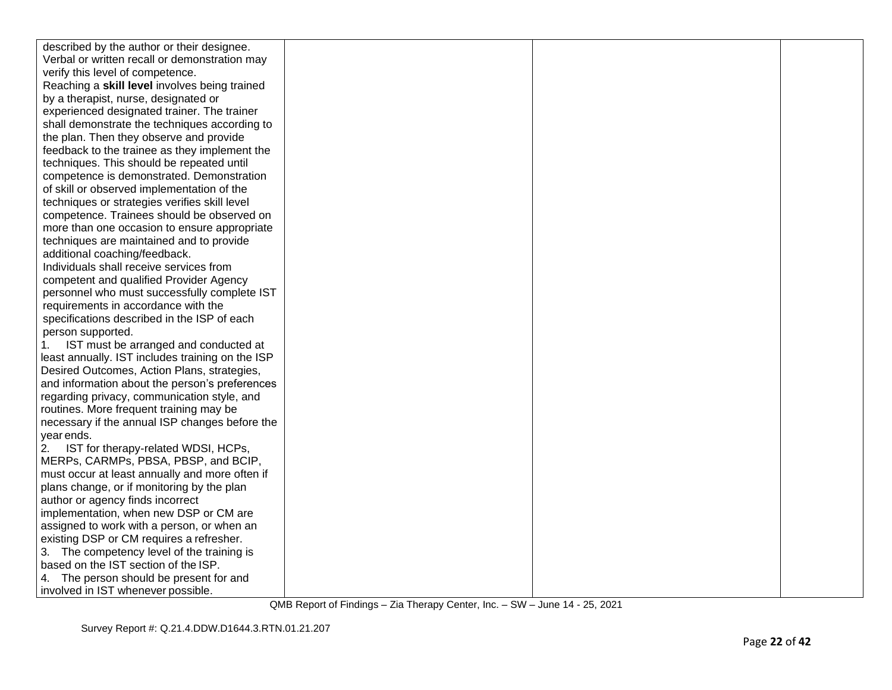| described by the author or their designee.       |  |  |
|--------------------------------------------------|--|--|
| Verbal or written recall or demonstration may    |  |  |
| verify this level of competence.                 |  |  |
| Reaching a skill level involves being trained    |  |  |
| by a therapist, nurse, designated or             |  |  |
| experienced designated trainer. The trainer      |  |  |
| shall demonstrate the techniques according to    |  |  |
| the plan. Then they observe and provide          |  |  |
| feedback to the trainee as they implement the    |  |  |
| techniques. This should be repeated until        |  |  |
| competence is demonstrated. Demonstration        |  |  |
| of skill or observed implementation of the       |  |  |
| techniques or strategies verifies skill level    |  |  |
| competence. Trainees should be observed on       |  |  |
| more than one occasion to ensure appropriate     |  |  |
| techniques are maintained and to provide         |  |  |
| additional coaching/feedback.                    |  |  |
| Individuals shall receive services from          |  |  |
| competent and qualified Provider Agency          |  |  |
| personnel who must successfully complete IST     |  |  |
| requirements in accordance with the              |  |  |
| specifications described in the ISP of each      |  |  |
| person supported.                                |  |  |
| IST must be arranged and conducted at<br>1.      |  |  |
| least annually. IST includes training on the ISP |  |  |
| Desired Outcomes, Action Plans, strategies,      |  |  |
| and information about the person's preferences   |  |  |
| regarding privacy, communication style, and      |  |  |
| routines. More frequent training may be          |  |  |
| necessary if the annual ISP changes before the   |  |  |
| year ends.                                       |  |  |
| IST for therapy-related WDSI, HCPs,<br>2.        |  |  |
| MERPs, CARMPs, PBSA, PBSP, and BCIP,             |  |  |
| must occur at least annually and more often if   |  |  |
| plans change, or if monitoring by the plan       |  |  |
| author or agency finds incorrect                 |  |  |
| implementation, when new DSP or CM are           |  |  |
| assigned to work with a person, or when an       |  |  |
| existing DSP or CM requires a refresher.         |  |  |
| 3. The competency level of the training is       |  |  |
| based on the IST section of the ISP.             |  |  |
| 4. The person should be present for and          |  |  |
| involved in IST whenever possible.               |  |  |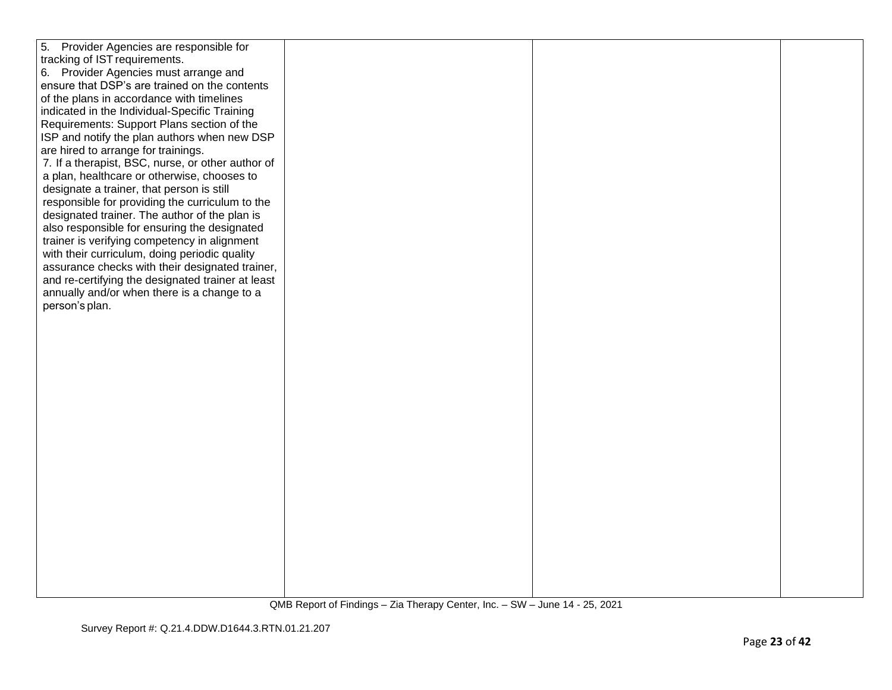| 5.<br>Provider Agencies are responsible for       |  |  |
|---------------------------------------------------|--|--|
| tracking of IST requirements.                     |  |  |
| 6. Provider Agencies must arrange and             |  |  |
| ensure that DSP's are trained on the contents     |  |  |
| of the plans in accordance with timelines         |  |  |
| indicated in the Individual-Specific Training     |  |  |
| Requirements: Support Plans section of the        |  |  |
| ISP and notify the plan authors when new DSP      |  |  |
| are hired to arrange for trainings.               |  |  |
| 7. If a therapist, BSC, nurse, or other author of |  |  |
| a plan, healthcare or otherwise, chooses to       |  |  |
| designate a trainer, that person is still         |  |  |
| responsible for providing the curriculum to the   |  |  |
| designated trainer. The author of the plan is     |  |  |
| also responsible for ensuring the designated      |  |  |
| trainer is verifying competency in alignment      |  |  |
| with their curriculum, doing periodic quality     |  |  |
| assurance checks with their designated trainer,   |  |  |
| and re-certifying the designated trainer at least |  |  |
| annually and/or when there is a change to a       |  |  |
| person's plan.                                    |  |  |
|                                                   |  |  |
|                                                   |  |  |
|                                                   |  |  |
|                                                   |  |  |
|                                                   |  |  |
|                                                   |  |  |
|                                                   |  |  |
|                                                   |  |  |
|                                                   |  |  |
|                                                   |  |  |
|                                                   |  |  |
|                                                   |  |  |
|                                                   |  |  |
|                                                   |  |  |
|                                                   |  |  |
|                                                   |  |  |
|                                                   |  |  |
|                                                   |  |  |
|                                                   |  |  |
|                                                   |  |  |
|                                                   |  |  |
|                                                   |  |  |
|                                                   |  |  |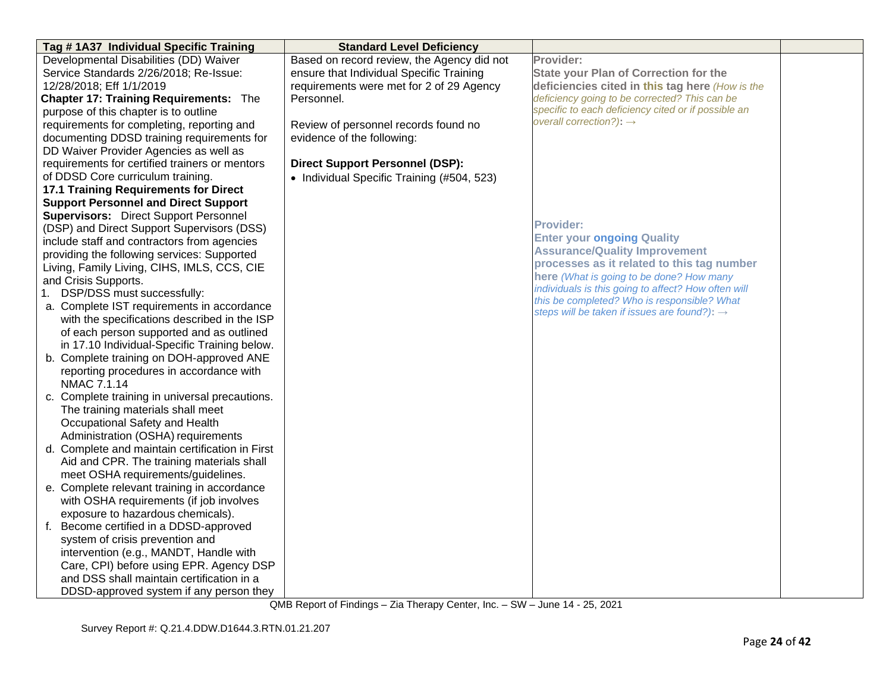| Tag #1A37 Individual Specific Training                                                                                         | <b>Standard Level Deficiency</b>           |                                                                           |  |
|--------------------------------------------------------------------------------------------------------------------------------|--------------------------------------------|---------------------------------------------------------------------------|--|
| Developmental Disabilities (DD) Waiver                                                                                         | Based on record review, the Agency did not | Provider:                                                                 |  |
| Service Standards 2/26/2018; Re-Issue:                                                                                         | ensure that Individual Specific Training   | <b>State your Plan of Correction for the</b>                              |  |
| 12/28/2018; Eff 1/1/2019                                                                                                       | requirements were met for 2 of 29 Agency   | deficiencies cited in this tag here (How is the                           |  |
| <b>Chapter 17: Training Requirements: The</b>                                                                                  | Personnel.                                 | deficiency going to be corrected? This can be                             |  |
| purpose of this chapter is to outline                                                                                          |                                            | specific to each deficiency cited or if possible an                       |  |
| requirements for completing, reporting and                                                                                     | Review of personnel records found no       | overall correction?): $\rightarrow$                                       |  |
| documenting DDSD training requirements for                                                                                     | evidence of the following:                 |                                                                           |  |
| DD Waiver Provider Agencies as well as                                                                                         |                                            |                                                                           |  |
| requirements for certified trainers or mentors                                                                                 | <b>Direct Support Personnel (DSP):</b>     |                                                                           |  |
| of DDSD Core curriculum training.                                                                                              | • Individual Specific Training (#504, 523) |                                                                           |  |
| <b>17.1 Training Requirements for Direct</b>                                                                                   |                                            |                                                                           |  |
| <b>Support Personnel and Direct Support</b>                                                                                    |                                            |                                                                           |  |
| <b>Supervisors:</b> Direct Support Personnel                                                                                   |                                            | <b>Provider:</b>                                                          |  |
| (DSP) and Direct Support Supervisors (DSS)                                                                                     |                                            |                                                                           |  |
| include staff and contractors from agencies                                                                                    |                                            | <b>Enter your ongoing Quality</b><br><b>Assurance/Quality Improvement</b> |  |
| providing the following services: Supported                                                                                    |                                            | processes as it related to this tag number                                |  |
| Living, Family Living, CIHS, IMLS, CCS, CIE                                                                                    |                                            | here (What is going to be done? How many                                  |  |
| and Crisis Supports.                                                                                                           |                                            | individuals is this going to affect? How often will                       |  |
| 1. DSP/DSS must successfully:                                                                                                  |                                            | this be completed? Who is responsible? What                               |  |
| a. Complete IST requirements in accordance                                                                                     |                                            | steps will be taken if issues are found?): $\rightarrow$                  |  |
| with the specifications described in the ISP                                                                                   |                                            |                                                                           |  |
| of each person supported and as outlined                                                                                       |                                            |                                                                           |  |
| in 17.10 Individual-Specific Training below.                                                                                   |                                            |                                                                           |  |
| b. Complete training on DOH-approved ANE                                                                                       |                                            |                                                                           |  |
| reporting procedures in accordance with                                                                                        |                                            |                                                                           |  |
| NMAC 7.1.14                                                                                                                    |                                            |                                                                           |  |
| c. Complete training in universal precautions.                                                                                 |                                            |                                                                           |  |
| The training materials shall meet                                                                                              |                                            |                                                                           |  |
| Occupational Safety and Health                                                                                                 |                                            |                                                                           |  |
| Administration (OSHA) requirements<br>d. Complete and maintain certification in First                                          |                                            |                                                                           |  |
| Aid and CPR. The training materials shall                                                                                      |                                            |                                                                           |  |
| meet OSHA requirements/guidelines.                                                                                             |                                            |                                                                           |  |
| e. Complete relevant training in accordance                                                                                    |                                            |                                                                           |  |
| with OSHA requirements (if job involves                                                                                        |                                            |                                                                           |  |
| exposure to hazardous chemicals).                                                                                              |                                            |                                                                           |  |
| f. Become certified in a DDSD-approved                                                                                         |                                            |                                                                           |  |
| system of crisis prevention and                                                                                                |                                            |                                                                           |  |
|                                                                                                                                |                                            |                                                                           |  |
|                                                                                                                                |                                            |                                                                           |  |
|                                                                                                                                |                                            |                                                                           |  |
|                                                                                                                                |                                            |                                                                           |  |
| intervention (e.g., MANDT, Handle with<br>Care, CPI) before using EPR. Agency DSP<br>and DSS shall maintain certification in a |                                            |                                                                           |  |
| DDSD-approved system if any person they                                                                                        |                                            |                                                                           |  |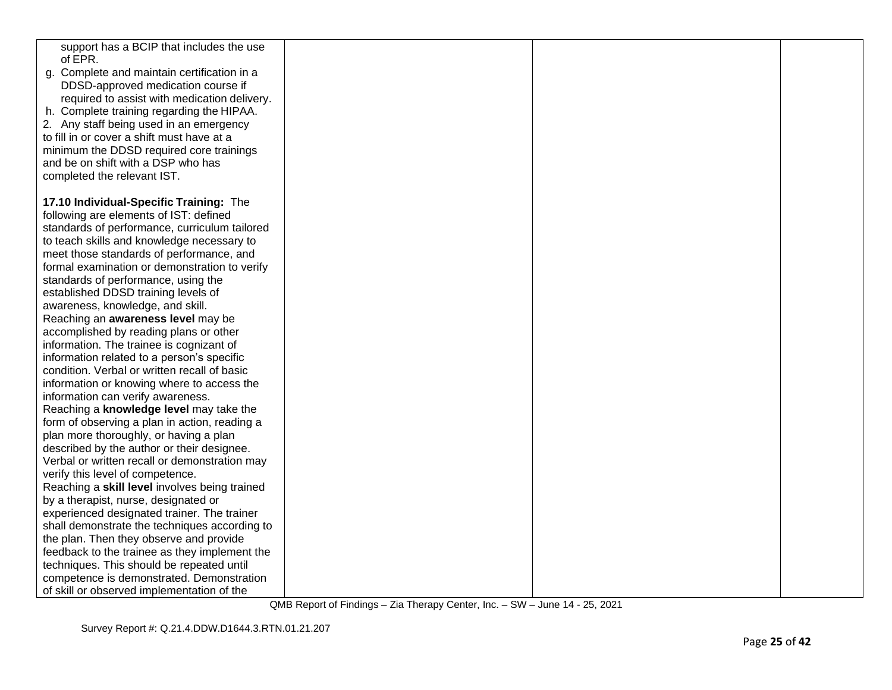| support has a BCIP that includes the use<br>of EPR. |  |  |
|-----------------------------------------------------|--|--|
| g. Complete and maintain certification in a         |  |  |
| DDSD-approved medication course if                  |  |  |
| required to assist with medication delivery.        |  |  |
| h. Complete training regarding the HIPAA.           |  |  |
| 2. Any staff being used in an emergency             |  |  |
| to fill in or cover a shift must have at a          |  |  |
| minimum the DDSD required core trainings            |  |  |
| and be on shift with a DSP who has                  |  |  |
| completed the relevant IST.                         |  |  |
|                                                     |  |  |
| 17.10 Individual-Specific Training: The             |  |  |
| following are elements of IST: defined              |  |  |
| standards of performance, curriculum tailored       |  |  |
| to teach skills and knowledge necessary to          |  |  |
| meet those standards of performance, and            |  |  |
| formal examination or demonstration to verify       |  |  |
| standards of performance, using the                 |  |  |
| established DDSD training levels of                 |  |  |
| awareness, knowledge, and skill.                    |  |  |
| Reaching an awareness level may be                  |  |  |
| accomplished by reading plans or other              |  |  |
| information. The trainee is cognizant of            |  |  |
| information related to a person's specific          |  |  |
| condition. Verbal or written recall of basic        |  |  |
| information or knowing where to access the          |  |  |
| information can verify awareness.                   |  |  |
| Reaching a knowledge level may take the             |  |  |
| form of observing a plan in action, reading a       |  |  |
| plan more thoroughly, or having a plan              |  |  |
| described by the author or their designee.          |  |  |
| Verbal or written recall or demonstration may       |  |  |
| verify this level of competence.                    |  |  |
| Reaching a skill level involves being trained       |  |  |
| by a therapist, nurse, designated or                |  |  |
| experienced designated trainer. The trainer         |  |  |
| shall demonstrate the techniques according to       |  |  |
| the plan. Then they observe and provide             |  |  |
| feedback to the trainee as they implement the       |  |  |
| techniques. This should be repeated until           |  |  |
| competence is demonstrated. Demonstration           |  |  |
| of skill or observed implementation of the          |  |  |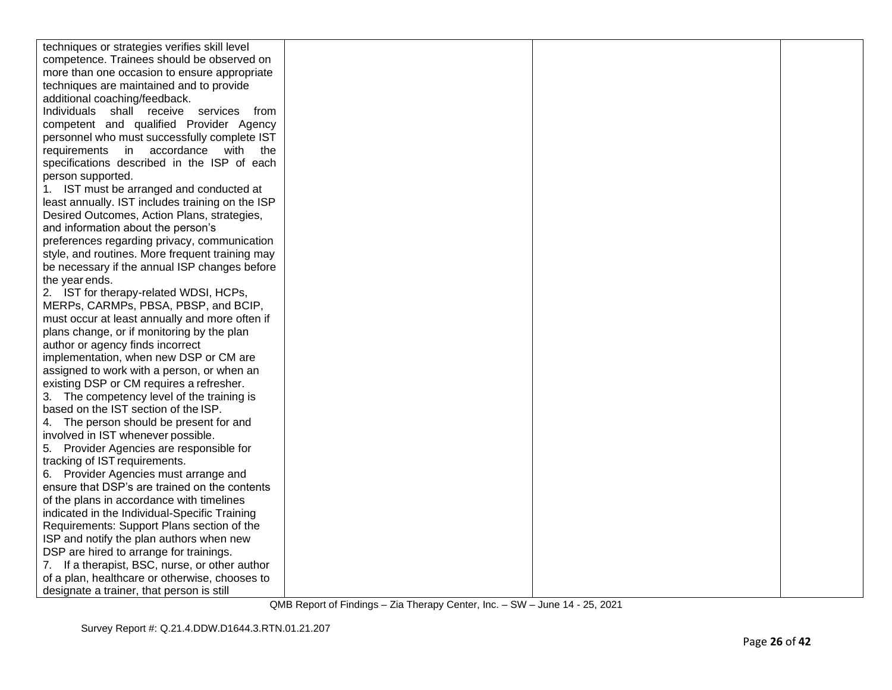| techniques or strategies verifies skill level    |  |  |
|--------------------------------------------------|--|--|
| competence. Trainees should be observed on       |  |  |
| more than one occasion to ensure appropriate     |  |  |
| techniques are maintained and to provide         |  |  |
| additional coaching/feedback.                    |  |  |
| Individuals shall receive services from          |  |  |
| competent and qualified Provider Agency          |  |  |
| personnel who must successfully complete IST     |  |  |
| requirements in accordance with the              |  |  |
| specifications described in the ISP of each      |  |  |
| person supported.                                |  |  |
| 1. IST must be arranged and conducted at         |  |  |
| least annually. IST includes training on the ISP |  |  |
| Desired Outcomes, Action Plans, strategies,      |  |  |
| and information about the person's               |  |  |
| preferences regarding privacy, communication     |  |  |
| style, and routines. More frequent training may  |  |  |
| be necessary if the annual ISP changes before    |  |  |
| the year ends.                                   |  |  |
| 2. IST for therapy-related WDSI, HCPs,           |  |  |
| MERPs, CARMPs, PBSA, PBSP, and BCIP,             |  |  |
| must occur at least annually and more often if   |  |  |
| plans change, or if monitoring by the plan       |  |  |
| author or agency finds incorrect                 |  |  |
| implementation, when new DSP or CM are           |  |  |
| assigned to work with a person, or when an       |  |  |
| existing DSP or CM requires a refresher.         |  |  |
| 3. The competency level of the training is       |  |  |
| based on the IST section of the ISP.             |  |  |
| 4. The person should be present for and          |  |  |
| involved in IST whenever possible.               |  |  |
| 5. Provider Agencies are responsible for         |  |  |
| tracking of IST requirements.                    |  |  |
| 6. Provider Agencies must arrange and            |  |  |
| ensure that DSP's are trained on the contents    |  |  |
| of the plans in accordance with timelines        |  |  |
| indicated in the Individual-Specific Training    |  |  |
| Requirements: Support Plans section of the       |  |  |
| ISP and notify the plan authors when new         |  |  |
| DSP are hired to arrange for trainings.          |  |  |
| 7. If a therapist, BSC, nurse, or other author   |  |  |
| of a plan, healthcare or otherwise, chooses to   |  |  |
| designate a trainer, that person is still        |  |  |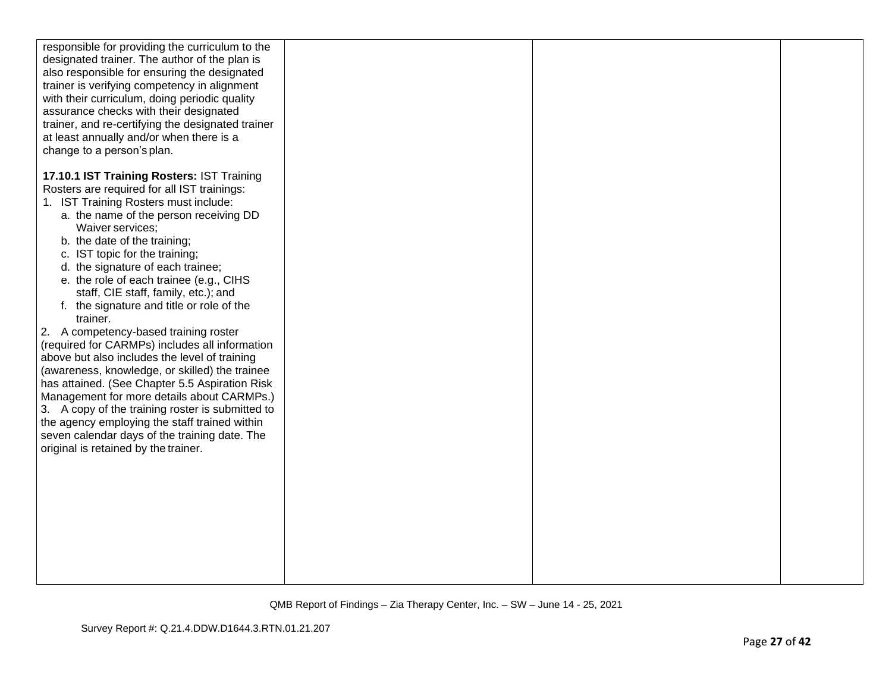| responsible for providing the curriculum to the<br>designated trainer. The author of the plan is<br>also responsible for ensuring the designated<br>trainer is verifying competency in alignment<br>with their curriculum, doing periodic quality<br>assurance checks with their designated<br>trainer, and re-certifying the designated trainer<br>at least annually and/or when there is a<br>change to a person's plan.                                                                                                                     |  |  |
|------------------------------------------------------------------------------------------------------------------------------------------------------------------------------------------------------------------------------------------------------------------------------------------------------------------------------------------------------------------------------------------------------------------------------------------------------------------------------------------------------------------------------------------------|--|--|
| 17.10.1 IST Training Rosters: IST Training<br>Rosters are required for all IST trainings:<br>1. IST Training Rosters must include:<br>a. the name of the person receiving DD<br>Waiver services;<br>b. the date of the training;<br>c. IST topic for the training;<br>d. the signature of each trainee;<br>e. the role of each trainee (e.g., CIHS<br>staff, CIE staff, family, etc.); and<br>f. the signature and title or role of the<br>trainer.<br>2. A competency-based training roster<br>(required for CARMPs) includes all information |  |  |
| above but also includes the level of training<br>(awareness, knowledge, or skilled) the trainee<br>has attained. (See Chapter 5.5 Aspiration Risk<br>Management for more details about CARMPs.)<br>3. A copy of the training roster is submitted to<br>the agency employing the staff trained within<br>seven calendar days of the training date. The<br>original is retained by the trainer.                                                                                                                                                  |  |  |
|                                                                                                                                                                                                                                                                                                                                                                                                                                                                                                                                                |  |  |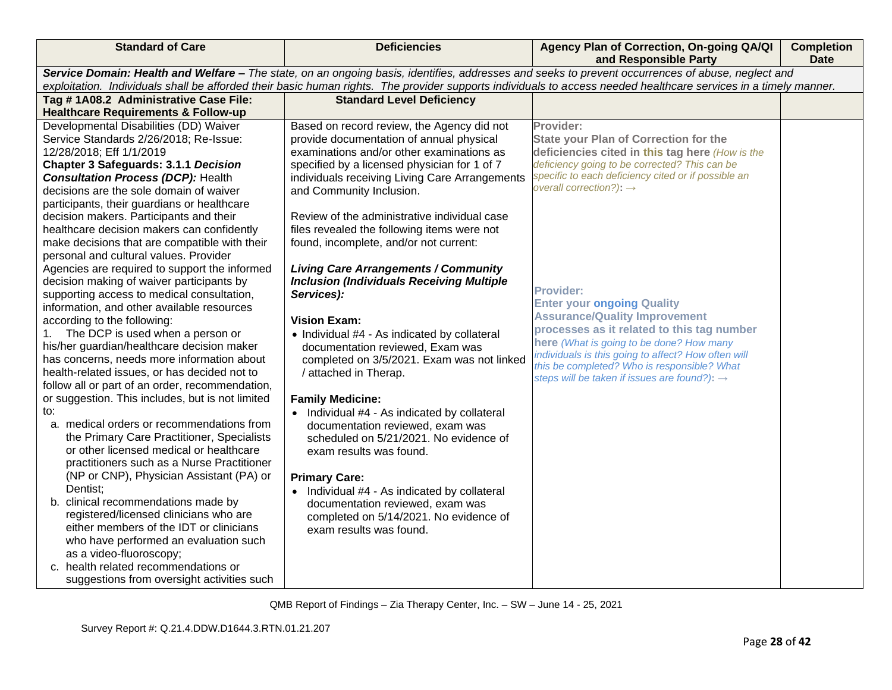| <b>Standard of Care</b>                                                                                                                           | <b>Deficiencies</b>                              | Agency Plan of Correction, On-going QA/QI<br>and Responsible Party                                                                                               | <b>Completion</b><br>Date |
|---------------------------------------------------------------------------------------------------------------------------------------------------|--------------------------------------------------|------------------------------------------------------------------------------------------------------------------------------------------------------------------|---------------------------|
| Service Domain: Health and Welfare - The state, on an ongoing basis, identifies, addresses and seeks to prevent occurrences of abuse, neglect and |                                                  |                                                                                                                                                                  |                           |
|                                                                                                                                                   |                                                  | exploitation. Individuals shall be afforded their basic human rights. The provider supports individuals to access needed healthcare services in a timely manner. |                           |
| Tag #1A08.2 Administrative Case File:                                                                                                             | <b>Standard Level Deficiency</b>                 |                                                                                                                                                                  |                           |
| <b>Healthcare Requirements &amp; Follow-up</b>                                                                                                    |                                                  |                                                                                                                                                                  |                           |
| Developmental Disabilities (DD) Waiver                                                                                                            | Based on record review, the Agency did not       | Provider:                                                                                                                                                        |                           |
| Service Standards 2/26/2018; Re-Issue:                                                                                                            | provide documentation of annual physical         | <b>State your Plan of Correction for the</b>                                                                                                                     |                           |
| 12/28/2018; Eff 1/1/2019                                                                                                                          | examinations and/or other examinations as        | deficiencies cited in this tag here (How is the                                                                                                                  |                           |
| <b>Chapter 3 Safeguards: 3.1.1 Decision</b>                                                                                                       | specified by a licensed physician for 1 of 7     | deficiency going to be corrected? This can be                                                                                                                    |                           |
| <b>Consultation Process (DCP): Health</b>                                                                                                         | individuals receiving Living Care Arrangements   | specific to each deficiency cited or if possible an<br>overall correction?): $\rightarrow$                                                                       |                           |
| decisions are the sole domain of waiver                                                                                                           | and Community Inclusion.                         |                                                                                                                                                                  |                           |
| participants, their guardians or healthcare                                                                                                       |                                                  |                                                                                                                                                                  |                           |
| decision makers. Participants and their                                                                                                           | Review of the administrative individual case     |                                                                                                                                                                  |                           |
| healthcare decision makers can confidently                                                                                                        | files revealed the following items were not      |                                                                                                                                                                  |                           |
| make decisions that are compatible with their<br>personal and cultural values. Provider                                                           | found, incomplete, and/or not current:           |                                                                                                                                                                  |                           |
| Agencies are required to support the informed                                                                                                     | <b>Living Care Arrangements / Community</b>      |                                                                                                                                                                  |                           |
| decision making of waiver participants by                                                                                                         | <b>Inclusion (Individuals Receiving Multiple</b> |                                                                                                                                                                  |                           |
| supporting access to medical consultation,                                                                                                        | Services):                                       | <b>Provider:</b>                                                                                                                                                 |                           |
| information, and other available resources                                                                                                        |                                                  | <b>Enter your ongoing Quality</b>                                                                                                                                |                           |
| according to the following:                                                                                                                       | <b>Vision Exam:</b>                              | <b>Assurance/Quality Improvement</b>                                                                                                                             |                           |
| The DCP is used when a person or<br>1.                                                                                                            | • Individual #4 - As indicated by collateral     | processes as it related to this tag number                                                                                                                       |                           |
| his/her guardian/healthcare decision maker                                                                                                        | documentation reviewed, Exam was                 | here (What is going to be done? How many                                                                                                                         |                           |
| has concerns, needs more information about                                                                                                        | completed on 3/5/2021. Exam was not linked       | individuals is this going to affect? How often will                                                                                                              |                           |
| health-related issues, or has decided not to                                                                                                      | / attached in Therap.                            | this be completed? Who is responsible? What                                                                                                                      |                           |
| follow all or part of an order, recommendation,                                                                                                   |                                                  | steps will be taken if issues are found?): $\rightarrow$                                                                                                         |                           |
| or suggestion. This includes, but is not limited                                                                                                  | <b>Family Medicine:</b>                          |                                                                                                                                                                  |                           |
| to:                                                                                                                                               | • Individual #4 - As indicated by collateral     |                                                                                                                                                                  |                           |
| a. medical orders or recommendations from                                                                                                         | documentation reviewed, exam was                 |                                                                                                                                                                  |                           |
| the Primary Care Practitioner, Specialists                                                                                                        | scheduled on 5/21/2021. No evidence of           |                                                                                                                                                                  |                           |
| or other licensed medical or healthcare                                                                                                           | exam results was found.                          |                                                                                                                                                                  |                           |
| practitioners such as a Nurse Practitioner                                                                                                        |                                                  |                                                                                                                                                                  |                           |
| (NP or CNP), Physician Assistant (PA) or                                                                                                          | <b>Primary Care:</b>                             |                                                                                                                                                                  |                           |
| Dentist;                                                                                                                                          | • Individual #4 - As indicated by collateral     |                                                                                                                                                                  |                           |
| b. clinical recommendations made by                                                                                                               | documentation reviewed, exam was                 |                                                                                                                                                                  |                           |
| registered/licensed clinicians who are                                                                                                            | completed on 5/14/2021. No evidence of           |                                                                                                                                                                  |                           |
| either members of the IDT or clinicians                                                                                                           | exam results was found.                          |                                                                                                                                                                  |                           |
| who have performed an evaluation such                                                                                                             |                                                  |                                                                                                                                                                  |                           |
| as a video-fluoroscopy;                                                                                                                           |                                                  |                                                                                                                                                                  |                           |
| c. health related recommendations or                                                                                                              |                                                  |                                                                                                                                                                  |                           |
| suggestions from oversight activities such                                                                                                        |                                                  |                                                                                                                                                                  |                           |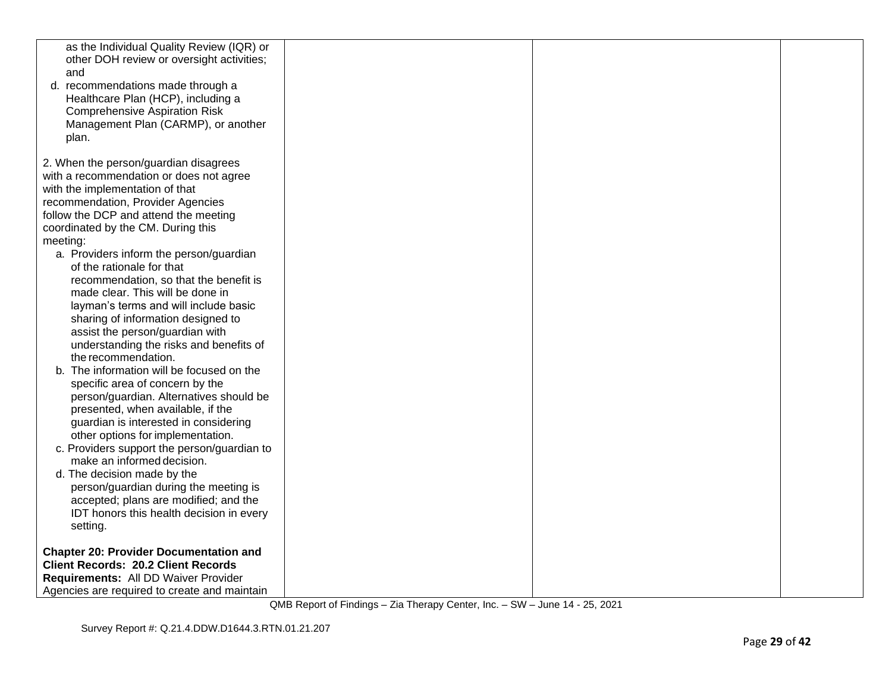| as the Individual Quality Review (IQR) or<br>other DOH review or oversight activities;<br>and<br>d. recommendations made through a<br>Healthcare Plan (HCP), including a<br><b>Comprehensive Aspiration Risk</b><br>Management Plan (CARMP), or another<br>plan.                                                                                                                                                                                                                                                                                                                                                                                                                                                                                                                                                                                                                                                                                                                                                                                                                                  |  |  |
|---------------------------------------------------------------------------------------------------------------------------------------------------------------------------------------------------------------------------------------------------------------------------------------------------------------------------------------------------------------------------------------------------------------------------------------------------------------------------------------------------------------------------------------------------------------------------------------------------------------------------------------------------------------------------------------------------------------------------------------------------------------------------------------------------------------------------------------------------------------------------------------------------------------------------------------------------------------------------------------------------------------------------------------------------------------------------------------------------|--|--|
| 2. When the person/guardian disagrees<br>with a recommendation or does not agree<br>with the implementation of that<br>recommendation, Provider Agencies<br>follow the DCP and attend the meeting<br>coordinated by the CM. During this<br>meeting:<br>a. Providers inform the person/guardian<br>of the rationale for that<br>recommendation, so that the benefit is<br>made clear. This will be done in<br>layman's terms and will include basic<br>sharing of information designed to<br>assist the person/guardian with<br>understanding the risks and benefits of<br>the recommendation.<br>b. The information will be focused on the<br>specific area of concern by the<br>person/guardian. Alternatives should be<br>presented, when available, if the<br>guardian is interested in considering<br>other options for implementation.<br>c. Providers support the person/guardian to<br>make an informed decision.<br>d. The decision made by the<br>person/guardian during the meeting is<br>accepted; plans are modified; and the<br>IDT honors this health decision in every<br>setting. |  |  |
| <b>Chapter 20: Provider Documentation and</b><br><b>Client Records: 20.2 Client Records</b><br>Requirements: All DD Waiver Provider<br>Agencies are required to create and maintain                                                                                                                                                                                                                                                                                                                                                                                                                                                                                                                                                                                                                                                                                                                                                                                                                                                                                                               |  |  |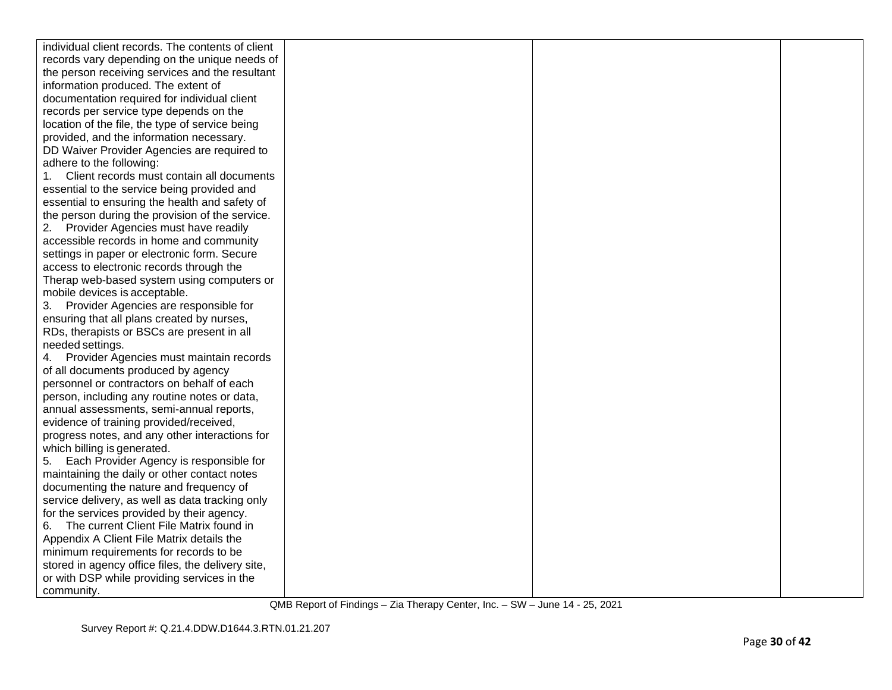| individual client records. The contents of client |  |  |
|---------------------------------------------------|--|--|
| records vary depending on the unique needs of     |  |  |
| the person receiving services and the resultant   |  |  |
| information produced. The extent of               |  |  |
| documentation required for individual client      |  |  |
| records per service type depends on the           |  |  |
| location of the file, the type of service being   |  |  |
| provided, and the information necessary.          |  |  |
| DD Waiver Provider Agencies are required to       |  |  |
| adhere to the following:                          |  |  |
| Client records must contain all documents<br>1.   |  |  |
| essential to the service being provided and       |  |  |
| essential to ensuring the health and safety of    |  |  |
| the person during the provision of the service.   |  |  |
| Provider Agencies must have readily               |  |  |
| accessible records in home and community          |  |  |
| settings in paper or electronic form. Secure      |  |  |
| access to electronic records through the          |  |  |
| Therap web-based system using computers or        |  |  |
| mobile devices is acceptable.                     |  |  |
| 3.<br>Provider Agencies are responsible for       |  |  |
| ensuring that all plans created by nurses,        |  |  |
| RDs, therapists or BSCs are present in all        |  |  |
| needed settings.                                  |  |  |
| Provider Agencies must maintain records<br>4.     |  |  |
| of all documents produced by agency               |  |  |
| personnel or contractors on behalf of each        |  |  |
| person, including any routine notes or data,      |  |  |
| annual assessments, semi-annual reports,          |  |  |
| evidence of training provided/received,           |  |  |
| progress notes, and any other interactions for    |  |  |
| which billing is generated.                       |  |  |
| Each Provider Agency is responsible for<br>5.     |  |  |
| maintaining the daily or other contact notes      |  |  |
| documenting the nature and frequency of           |  |  |
| service delivery, as well as data tracking only   |  |  |
| for the services provided by their agency.        |  |  |
| The current Client File Matrix found in           |  |  |
| Appendix A Client File Matrix details the         |  |  |
| minimum requirements for records to be            |  |  |
| stored in agency office files, the delivery site, |  |  |
| or with DSP while providing services in the       |  |  |
| community.                                        |  |  |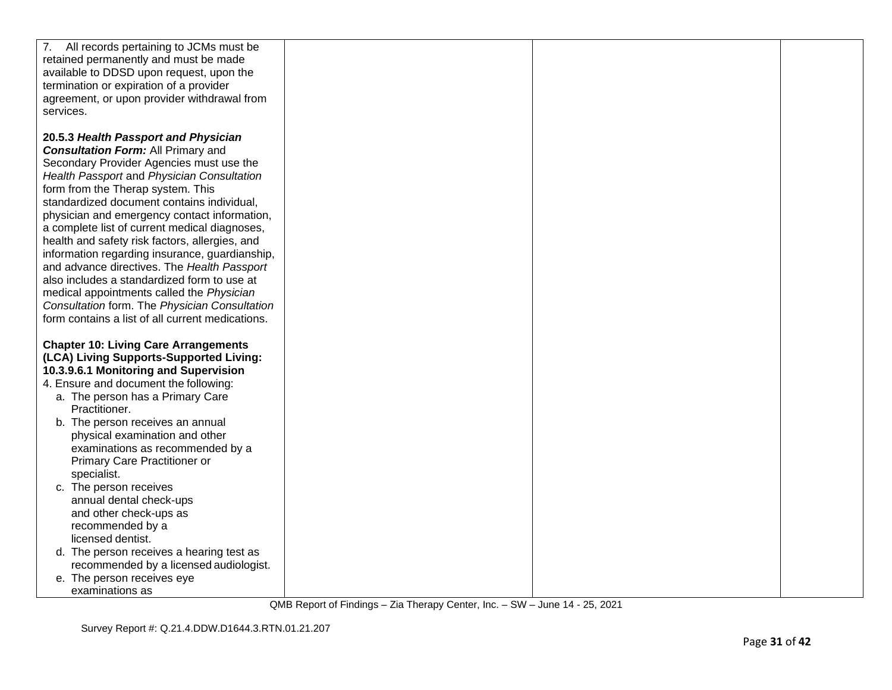| 7. All records pertaining to JCMs must be<br>retained permanently and must be made<br>available to DDSD upon request, upon the                                                                                                                                                                                                                                                                                                                                                                                                                                                                                                                                                                                      |  |
|---------------------------------------------------------------------------------------------------------------------------------------------------------------------------------------------------------------------------------------------------------------------------------------------------------------------------------------------------------------------------------------------------------------------------------------------------------------------------------------------------------------------------------------------------------------------------------------------------------------------------------------------------------------------------------------------------------------------|--|
| termination or expiration of a provider<br>agreement, or upon provider withdrawal from<br>services.                                                                                                                                                                                                                                                                                                                                                                                                                                                                                                                                                                                                                 |  |
| 20.5.3 Health Passport and Physician<br><b>Consultation Form: All Primary and</b><br>Secondary Provider Agencies must use the<br>Health Passport and Physician Consultation<br>form from the Therap system. This<br>standardized document contains individual,<br>physician and emergency contact information,<br>a complete list of current medical diagnoses,<br>health and safety risk factors, allergies, and<br>information regarding insurance, guardianship,<br>and advance directives. The Health Passport<br>also includes a standardized form to use at<br>medical appointments called the Physician<br>Consultation form. The Physician Consultation<br>form contains a list of all current medications. |  |
| <b>Chapter 10: Living Care Arrangements</b><br>(LCA) Living Supports-Supported Living:<br>10.3.9.6.1 Monitoring and Supervision<br>4. Ensure and document the following:<br>a. The person has a Primary Care                                                                                                                                                                                                                                                                                                                                                                                                                                                                                                        |  |
| Practitioner.<br>b. The person receives an annual<br>physical examination and other<br>examinations as recommended by a<br>Primary Care Practitioner or<br>specialist.                                                                                                                                                                                                                                                                                                                                                                                                                                                                                                                                              |  |
| c. The person receives<br>annual dental check-ups<br>and other check-ups as<br>recommended by a<br>licensed dentist.                                                                                                                                                                                                                                                                                                                                                                                                                                                                                                                                                                                                |  |
| d. The person receives a hearing test as<br>recommended by a licensed audiologist.<br>e. The person receives eye<br>examinations as                                                                                                                                                                                                                                                                                                                                                                                                                                                                                                                                                                                 |  |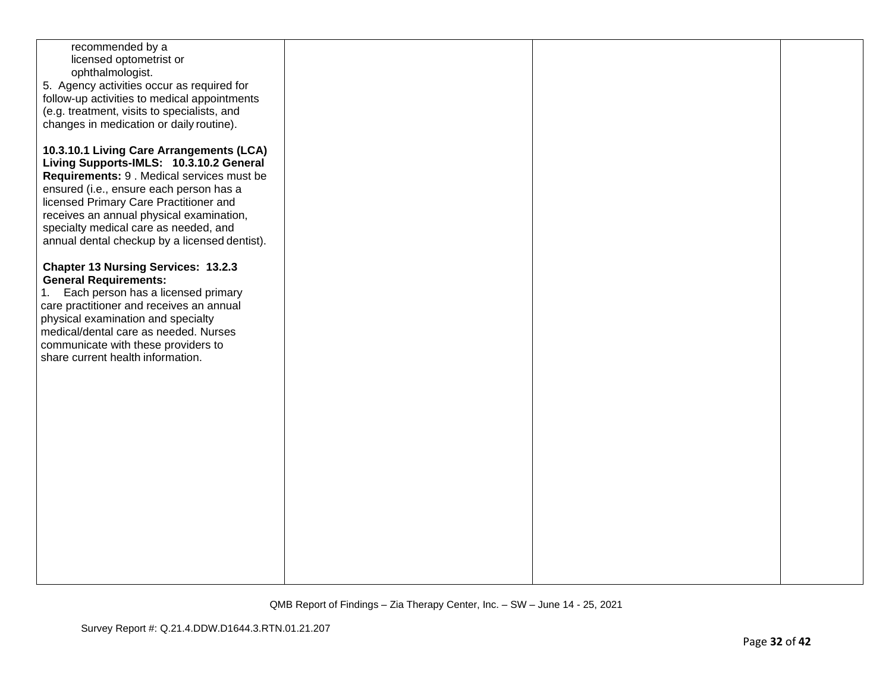| recommended by a                              |  |  |
|-----------------------------------------------|--|--|
|                                               |  |  |
| licensed optometrist or                       |  |  |
| ophthalmologist.                              |  |  |
|                                               |  |  |
| 5. Agency activities occur as required for    |  |  |
| follow-up activities to medical appointments  |  |  |
|                                               |  |  |
| (e.g. treatment, visits to specialists, and   |  |  |
| changes in medication or daily routine).      |  |  |
|                                               |  |  |
|                                               |  |  |
| 10.3.10.1 Living Care Arrangements (LCA)      |  |  |
|                                               |  |  |
| Living Supports-IMLS: 10.3.10.2 General       |  |  |
| Requirements: 9 . Medical services must be    |  |  |
|                                               |  |  |
| ensured (i.e., ensure each person has a       |  |  |
| licensed Primary Care Practitioner and        |  |  |
|                                               |  |  |
| receives an annual physical examination,      |  |  |
| specialty medical care as needed, and         |  |  |
|                                               |  |  |
| annual dental checkup by a licensed dentist). |  |  |
|                                               |  |  |
|                                               |  |  |
| <b>Chapter 13 Nursing Services: 13.2.3</b>    |  |  |
| <b>General Requirements:</b>                  |  |  |
|                                               |  |  |
| Each person has a licensed primary<br>1.      |  |  |
| care practitioner and receives an annual      |  |  |
|                                               |  |  |
| physical examination and specialty            |  |  |
| medical/dental care as needed. Nurses         |  |  |
|                                               |  |  |
| communicate with these providers to           |  |  |
| share current health information.             |  |  |
|                                               |  |  |
|                                               |  |  |
|                                               |  |  |
|                                               |  |  |
|                                               |  |  |
|                                               |  |  |
|                                               |  |  |
|                                               |  |  |
|                                               |  |  |
|                                               |  |  |
|                                               |  |  |
|                                               |  |  |
|                                               |  |  |
|                                               |  |  |
|                                               |  |  |
|                                               |  |  |
|                                               |  |  |
|                                               |  |  |
|                                               |  |  |
|                                               |  |  |
|                                               |  |  |
|                                               |  |  |
|                                               |  |  |
|                                               |  |  |
|                                               |  |  |
|                                               |  |  |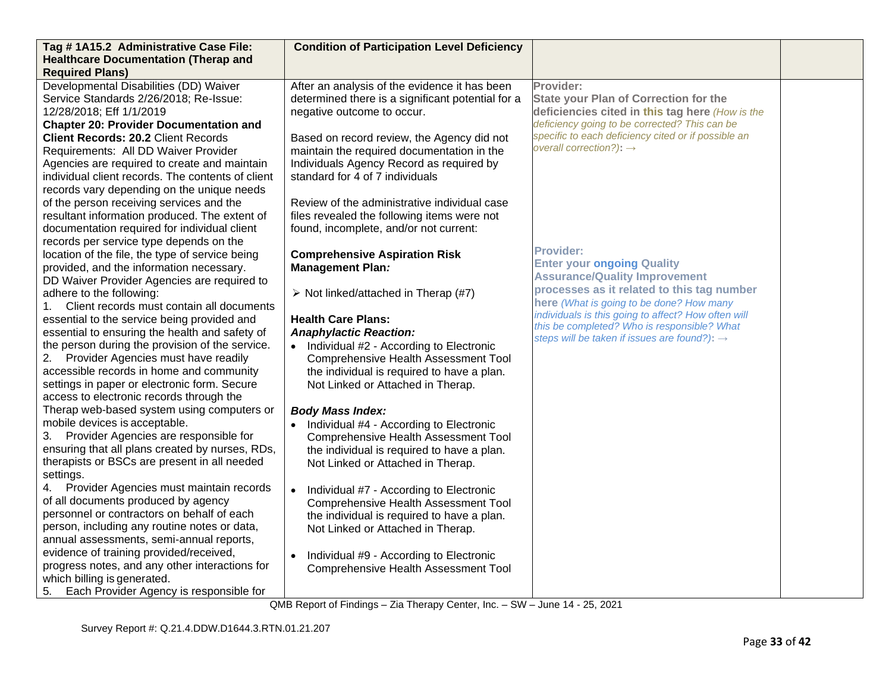| Tag #1A15.2 Administrative Case File:<br><b>Healthcare Documentation (Therap and</b>                                                                                                                                                                                                                | <b>Condition of Participation Level Deficiency</b>                                                                                                                                                                                                                       |                                                                                                                                                                                                                                                                                               |  |
|-----------------------------------------------------------------------------------------------------------------------------------------------------------------------------------------------------------------------------------------------------------------------------------------------------|--------------------------------------------------------------------------------------------------------------------------------------------------------------------------------------------------------------------------------------------------------------------------|-----------------------------------------------------------------------------------------------------------------------------------------------------------------------------------------------------------------------------------------------------------------------------------------------|--|
| <b>Required Plans)</b>                                                                                                                                                                                                                                                                              |                                                                                                                                                                                                                                                                          |                                                                                                                                                                                                                                                                                               |  |
| Developmental Disabilities (DD) Waiver<br>Service Standards 2/26/2018; Re-Issue:<br>12/28/2018; Eff 1/1/2019<br><b>Chapter 20: Provider Documentation and</b><br><b>Client Records: 20.2 Client Records</b><br>Requirements: All DD Waiver Provider<br>Agencies are required to create and maintain | After an analysis of the evidence it has been<br>determined there is a significant potential for a<br>negative outcome to occur.<br>Based on record review, the Agency did not<br>maintain the required documentation in the<br>Individuals Agency Record as required by | Provider:<br><b>State your Plan of Correction for the</b><br>deficiencies cited in this tag here (How is the<br>deficiency going to be corrected? This can be<br>specific to each deficiency cited or if possible an<br>overall correction?): $\rightarrow$                                   |  |
| individual client records. The contents of client<br>records vary depending on the unique needs<br>of the person receiving services and the<br>resultant information produced. The extent of<br>documentation required for individual client<br>records per service type depends on the             | standard for 4 of 7 individuals<br>Review of the administrative individual case<br>files revealed the following items were not<br>found, incomplete, and/or not current:                                                                                                 |                                                                                                                                                                                                                                                                                               |  |
| location of the file, the type of service being<br>provided, and the information necessary.<br>DD Waiver Provider Agencies are required to<br>adhere to the following:<br>Client records must contain all documents<br>1.<br>essential to the service being provided and                            | <b>Comprehensive Aspiration Risk</b><br><b>Management Plan:</b><br>$\triangleright$ Not linked/attached in Therap (#7)<br><b>Health Care Plans:</b>                                                                                                                      | <b>Provider:</b><br><b>Enter your ongoing Quality</b><br><b>Assurance/Quality Improvement</b><br>processes as it related to this tag number<br>here (What is going to be done? How many<br>individuals is this going to affect? How often will<br>this be completed? Who is responsible? What |  |
| essential to ensuring the health and safety of<br>the person during the provision of the service.<br>Provider Agencies must have readily<br>2.<br>accessible records in home and community<br>settings in paper or electronic form. Secure<br>access to electronic records through the              | <b>Anaphylactic Reaction:</b><br>• Individual #2 - According to Electronic<br><b>Comprehensive Health Assessment Tool</b><br>the individual is required to have a plan.<br>Not Linked or Attached in Therap.                                                             | steps will be taken if issues are found?): →                                                                                                                                                                                                                                                  |  |
| Therap web-based system using computers or<br>mobile devices is acceptable.<br>Provider Agencies are responsible for<br>3.<br>ensuring that all plans created by nurses, RDs,<br>therapists or BSCs are present in all needed<br>settings.                                                          | <b>Body Mass Index:</b><br>• Individual #4 - According to Electronic<br>Comprehensive Health Assessment Tool<br>the individual is required to have a plan.<br>Not Linked or Attached in Therap.                                                                          |                                                                                                                                                                                                                                                                                               |  |
| Provider Agencies must maintain records<br>of all documents produced by agency<br>personnel or contractors on behalf of each<br>person, including any routine notes or data,<br>annual assessments, semi-annual reports,<br>evidence of training provided/received,                                 | • Individual #7 - According to Electronic<br><b>Comprehensive Health Assessment Tool</b><br>the individual is required to have a plan.<br>Not Linked or Attached in Therap.                                                                                              |                                                                                                                                                                                                                                                                                               |  |
| progress notes, and any other interactions for<br>which billing is generated.<br>Each Provider Agency is responsible for<br>5.                                                                                                                                                                      | Individual #9 - According to Electronic<br>$\bullet$<br><b>Comprehensive Health Assessment Tool</b>                                                                                                                                                                      |                                                                                                                                                                                                                                                                                               |  |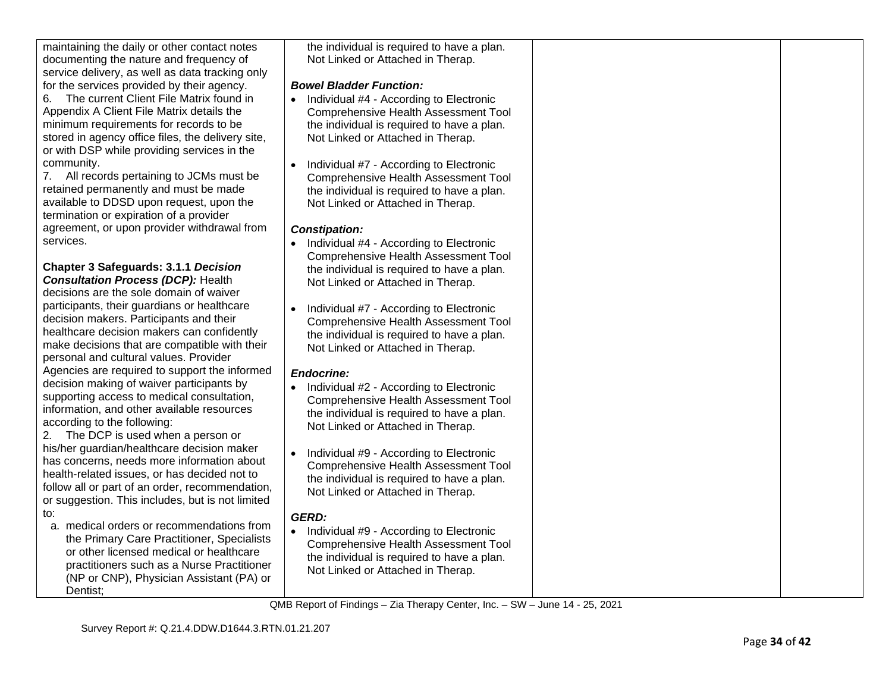maintaining the daily or other contact notes documenting the nature and frequency of service delivery, as well as data tracking only for the services provided by their agency.

6. The current Client File Matrix found in Appendix A Client File Matrix details the minimum requirements for records to be stored in agency office files, the delivery site, or with DSP while providing services in the community.

7. All records pertaining to JCMs must be retained permanently and must be made available to DDSD upon request, upon the termination or expiration of a provider agreement, or upon provider withdrawal from services.

**Chapter 3 Safeguards: 3.1.1** *Decision Consultation Process (DCP):* Health decisions are the sole domain of waiver participants, their guardians or healthcare decision makers. Participants and their healthcare decision makers can confidently make decisions that are compatible with their personal and cultural values. Provider Agencies are required to support the informed decision making of waiver participants by supporting access to medical consultation, information, and other available resources according to the following:

2. The DCP is used when a person or his/her guardian/healthcare decision maker has concerns, needs more information about health -related issues, or has decided not to follow all or part of an order, recommendation, or suggestion. This includes, but is not limited to:

a. medical orders or recommendations from the Primary Care Practitioner, Specialists or other licensed medical or healthcare practitioners such as a Nurse Practitioner (NP or CNP), Physician Assistant (PA) or Dentist;

the individual is required to have a plan. Not Linked or Attached in Therap.

### *Bowel Bladder Function:*

- Individual #4 According to Electronic Comprehensive Health Assessment Tool the individual is required to have a plan. Not Linked or Attached in Therap.
- Individual #7 According to Electronic Comprehensive Health Assessment Tool the individual is required to have a plan. Not Linked or Attached in Therap.

### *Constipation:*

- Individual #4 According to Electronic Comprehensive Health Assessment Tool the individual is required to have a plan. Not Linked or Attached in Therap.
- Individual #7 According to Electronic Comprehensive Health Assessment Tool the individual is required to have a plan. Not Linked or Attached in Therap.

### *Endocrine:*

- Individual #2 According to Electronic Comprehensive Health Assessment Tool the individual is required to have a plan. Not Linked or Attached in Therap.
- Individual #9 According to Electronic Comprehensive Health Assessment Tool the individual is required to have a plan. Not Linked or Attached in Therap.

# *GERD:*

• Individual #9 - According to Electronic Comprehensive Health Assessment Tool the individual is required to have a plan. Not Linked or Attached in Therap.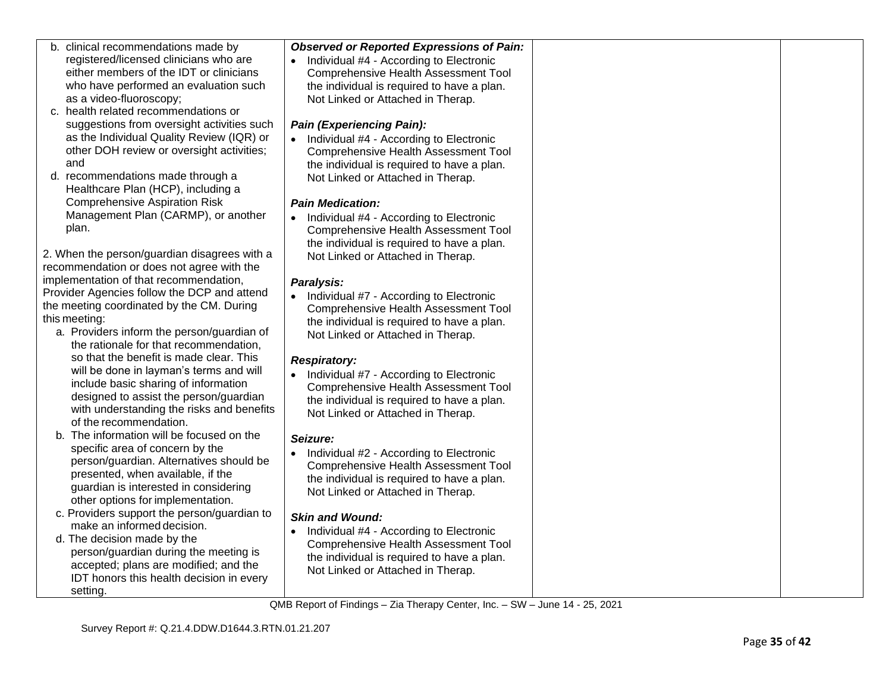| b. clinical recommendations made by                                               | <b>Observed or Reported Expressions of Pain:</b>     |  |
|-----------------------------------------------------------------------------------|------------------------------------------------------|--|
| registered/licensed clinicians who are                                            | • Individual #4 - According to Electronic            |  |
| either members of the IDT or clinicians                                           | <b>Comprehensive Health Assessment Tool</b>          |  |
| who have performed an evaluation such                                             | the individual is required to have a plan.           |  |
| as a video-fluoroscopy;                                                           | Not Linked or Attached in Therap.                    |  |
| c. health related recommendations or                                              |                                                      |  |
| suggestions from oversight activities such                                        | <b>Pain (Experiencing Pain):</b>                     |  |
| as the Individual Quality Review (IQR) or                                         | • Individual #4 - According to Electronic            |  |
| other DOH review or oversight activities;                                         | <b>Comprehensive Health Assessment Tool</b>          |  |
| and                                                                               | the individual is required to have a plan.           |  |
| d. recommendations made through a                                                 | Not Linked or Attached in Therap.                    |  |
| Healthcare Plan (HCP), including a                                                |                                                      |  |
| <b>Comprehensive Aspiration Risk</b>                                              | <b>Pain Medication:</b>                              |  |
| Management Plan (CARMP), or another                                               | • Individual #4 - According to Electronic            |  |
| plan.                                                                             | <b>Comprehensive Health Assessment Tool</b>          |  |
|                                                                                   | the individual is required to have a plan.           |  |
| 2. When the person/guardian disagrees with a                                      | Not Linked or Attached in Therap.                    |  |
| recommendation or does not agree with the                                         |                                                      |  |
| implementation of that recommendation,                                            | Paralysis:                                           |  |
| Provider Agencies follow the DCP and attend                                       | • Individual #7 - According to Electronic            |  |
| the meeting coordinated by the CM. During                                         | <b>Comprehensive Health Assessment Tool</b>          |  |
| this meeting:                                                                     | the individual is required to have a plan.           |  |
| a. Providers inform the person/guardian of                                        | Not Linked or Attached in Therap.                    |  |
| the rationale for that recommendation,                                            |                                                      |  |
| so that the benefit is made clear. This                                           | <b>Respiratory:</b>                                  |  |
| will be done in layman's terms and will                                           | • Individual #7 - According to Electronic            |  |
| include basic sharing of information                                              | <b>Comprehensive Health Assessment Tool</b>          |  |
| designed to assist the person/guardian                                            | the individual is required to have a plan.           |  |
| with understanding the risks and benefits                                         | Not Linked or Attached in Therap.                    |  |
| of the recommendation.                                                            |                                                      |  |
| b. The information will be focused on the                                         | Seizure:                                             |  |
| specific area of concern by the                                                   | • Individual #2 - According to Electronic            |  |
| person/guardian. Alternatives should be                                           | <b>Comprehensive Health Assessment Tool</b>          |  |
| presented, when available, if the                                                 | the individual is required to have a plan.           |  |
| guardian is interested in considering                                             | Not Linked or Attached in Therap.                    |  |
| other options for implementation.                                                 |                                                      |  |
| c. Providers support the person/guardian to<br>make an informed decision.         | <b>Skin and Wound:</b>                               |  |
|                                                                                   | Individual #4 - According to Electronic<br>$\bullet$ |  |
| d. The decision made by the                                                       | <b>Comprehensive Health Assessment Tool</b>          |  |
| person/guardian during the meeting is                                             | the individual is required to have a plan.           |  |
| accepted; plans are modified; and the<br>IDT honors this health decision in every | Not Linked or Attached in Therap.                    |  |
|                                                                                   |                                                      |  |
| setting.                                                                          |                                                      |  |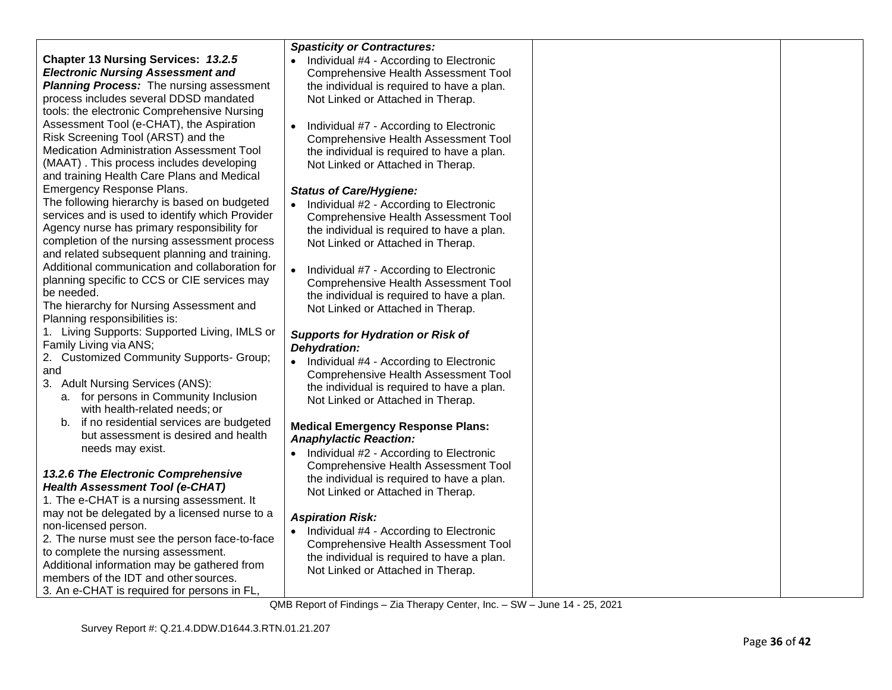|                                                 | <b>Spasticity or Contractures:</b>                   |  |
|-------------------------------------------------|------------------------------------------------------|--|
| <b>Chapter 13 Nursing Services: 13.2.5</b>      | Individual #4 - According to Electronic<br>$\bullet$ |  |
| <b>Electronic Nursing Assessment and</b>        | <b>Comprehensive Health Assessment Tool</b>          |  |
| <b>Planning Process:</b> The nursing assessment | the individual is required to have a plan.           |  |
| process includes several DDSD mandated          | Not Linked or Attached in Therap.                    |  |
| tools: the electronic Comprehensive Nursing     |                                                      |  |
| Assessment Tool (e-CHAT), the Aspiration        | Individual #7 - According to Electronic<br>$\bullet$ |  |
| Risk Screening Tool (ARST) and the              | Comprehensive Health Assessment Tool                 |  |
| Medication Administration Assessment Tool       | the individual is required to have a plan.           |  |
| (MAAT). This process includes developing        | Not Linked or Attached in Therap.                    |  |
| and training Health Care Plans and Medical      |                                                      |  |
| Emergency Response Plans.                       | <b>Status of Care/Hygiene:</b>                       |  |
| The following hierarchy is based on budgeted    | Individual #2 - According to Electronic              |  |
| services and is used to identify which Provider | <b>Comprehensive Health Assessment Tool</b>          |  |
| Agency nurse has primary responsibility for     | the individual is required to have a plan.           |  |
| completion of the nursing assessment process    | Not Linked or Attached in Therap.                    |  |
| and related subsequent planning and training.   |                                                      |  |
| Additional communication and collaboration for  | $\bullet$<br>Individual #7 - According to Electronic |  |
| planning specific to CCS or CIE services may    | Comprehensive Health Assessment Tool                 |  |
| be needed.                                      | the individual is required to have a plan.           |  |
| The hierarchy for Nursing Assessment and        | Not Linked or Attached in Therap.                    |  |
| Planning responsibilities is:                   |                                                      |  |
| 1. Living Supports: Supported Living, IMLS or   | <b>Supports for Hydration or Risk of</b>             |  |
| Family Living via ANS;                          | Dehydration:                                         |  |
| 2. Customized Community Supports- Group;        | Individual #4 - According to Electronic<br>$\bullet$ |  |
| and                                             | Comprehensive Health Assessment Tool                 |  |
| 3. Adult Nursing Services (ANS):                | the individual is required to have a plan.           |  |
| a. for persons in Community Inclusion           | Not Linked or Attached in Therap.                    |  |
| with health-related needs; or                   |                                                      |  |
| b. if no residential services are budgeted      | <b>Medical Emergency Response Plans:</b>             |  |
| but assessment is desired and health.           | <b>Anaphylactic Reaction:</b>                        |  |
| needs may exist.                                | Individual #2 - According to Electronic              |  |
|                                                 | <b>Comprehensive Health Assessment Tool</b>          |  |
| 13.2.6 The Electronic Comprehensive             | the individual is required to have a plan.           |  |
| <b>Health Assessment Tool (e-CHAT)</b>          | Not Linked or Attached in Therap.                    |  |
| 1. The e-CHAT is a nursing assessment. It       |                                                      |  |
| may not be delegated by a licensed nurse to a   | <b>Aspiration Risk:</b>                              |  |
| non-licensed person.                            | Individual #4 - According to Electronic<br>$\bullet$ |  |
| 2. The nurse must see the person face-to-face   | <b>Comprehensive Health Assessment Tool</b>          |  |
| to complete the nursing assessment.             | the individual is required to have a plan.           |  |
| Additional information may be gathered from     | Not Linked or Attached in Therap.                    |  |
| members of the IDT and other sources.           |                                                      |  |
| 3. An e-CHAT is required for persons in FL,     |                                                      |  |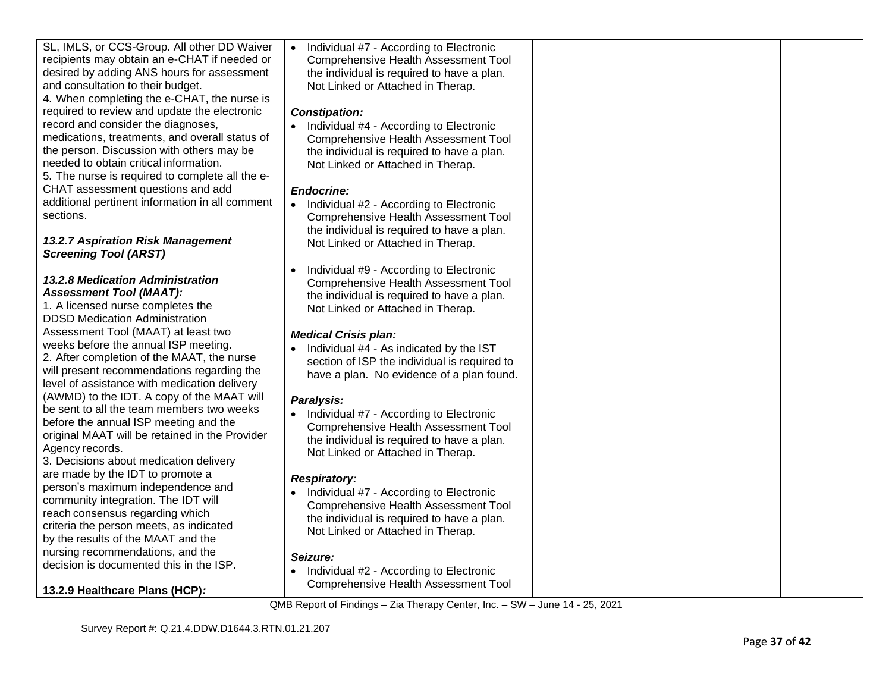| SL, IMLS, or CCS-Group. All other DD Waiver     | Individual #7 - According to Electronic<br>$\bullet$ |  |
|-------------------------------------------------|------------------------------------------------------|--|
| recipients may obtain an e-CHAT if needed or    | <b>Comprehensive Health Assessment Tool</b>          |  |
| desired by adding ANS hours for assessment      | the individual is required to have a plan.           |  |
| and consultation to their budget.               | Not Linked or Attached in Therap.                    |  |
| 4. When completing the e-CHAT, the nurse is     |                                                      |  |
| required to review and update the electronic    | <b>Constipation:</b>                                 |  |
| record and consider the diagnoses,              | Individual #4 - According to Electronic<br>$\bullet$ |  |
| medications, treatments, and overall status of  |                                                      |  |
| the person. Discussion with others may be       | Comprehensive Health Assessment Tool                 |  |
|                                                 | the individual is required to have a plan.           |  |
| needed to obtain critical information.          | Not Linked or Attached in Therap.                    |  |
| 5. The nurse is required to complete all the e- |                                                      |  |
| CHAT assessment questions and add               | <b>Endocrine:</b>                                    |  |
| additional pertinent information in all comment | Individual #2 - According to Electronic<br>$\bullet$ |  |
| sections.                                       | <b>Comprehensive Health Assessment Tool</b>          |  |
|                                                 | the individual is required to have a plan.           |  |
| <b>13.2.7 Aspiration Risk Management</b>        | Not Linked or Attached in Therap.                    |  |
| <b>Screening Tool (ARST)</b>                    |                                                      |  |
|                                                 | Individual #9 - According to Electronic              |  |
| 13.2.8 Medication Administration                | <b>Comprehensive Health Assessment Tool</b>          |  |
| <b>Assessment Tool (MAAT):</b>                  | the individual is required to have a plan.           |  |
| 1. A licensed nurse completes the               | Not Linked or Attached in Therap.                    |  |
| <b>DDSD Medication Administration</b>           |                                                      |  |
| Assessment Tool (MAAT) at least two             | <b>Medical Crisis plan:</b>                          |  |
| weeks before the annual ISP meeting.            | Individual #4 - As indicated by the IST              |  |
| 2. After completion of the MAAT, the nurse      | section of ISP the individual is required to         |  |
| will present recommendations regarding the      |                                                      |  |
| level of assistance with medication delivery    | have a plan. No evidence of a plan found.            |  |
| (AWMD) to the IDT. A copy of the MAAT will      |                                                      |  |
| be sent to all the team members two weeks       | Paralysis:                                           |  |
| before the annual ISP meeting and the           | Individual #7 - According to Electronic              |  |
| original MAAT will be retained in the Provider  | <b>Comprehensive Health Assessment Tool</b>          |  |
| Agency records.                                 | the individual is required to have a plan.           |  |
| 3. Decisions about medication delivery          | Not Linked or Attached in Therap.                    |  |
| are made by the IDT to promote a                |                                                      |  |
| person's maximum independence and               | <b>Respiratory:</b>                                  |  |
|                                                 | Individual #7 - According to Electronic<br>$\bullet$ |  |
| community integration. The IDT will             | Comprehensive Health Assessment Tool                 |  |
| reach consensus regarding which                 | the individual is required to have a plan.           |  |
| criteria the person meets, as indicated         | Not Linked or Attached in Therap.                    |  |
| by the results of the MAAT and the              |                                                      |  |
| nursing recommendations, and the                | Seizure:                                             |  |
| decision is documented this in the ISP.         | • Individual #2 - According to Electronic            |  |
|                                                 | <b>Comprehensive Health Assessment Tool</b>          |  |
| 13.2.9 Healthcare Plans (HCP):                  |                                                      |  |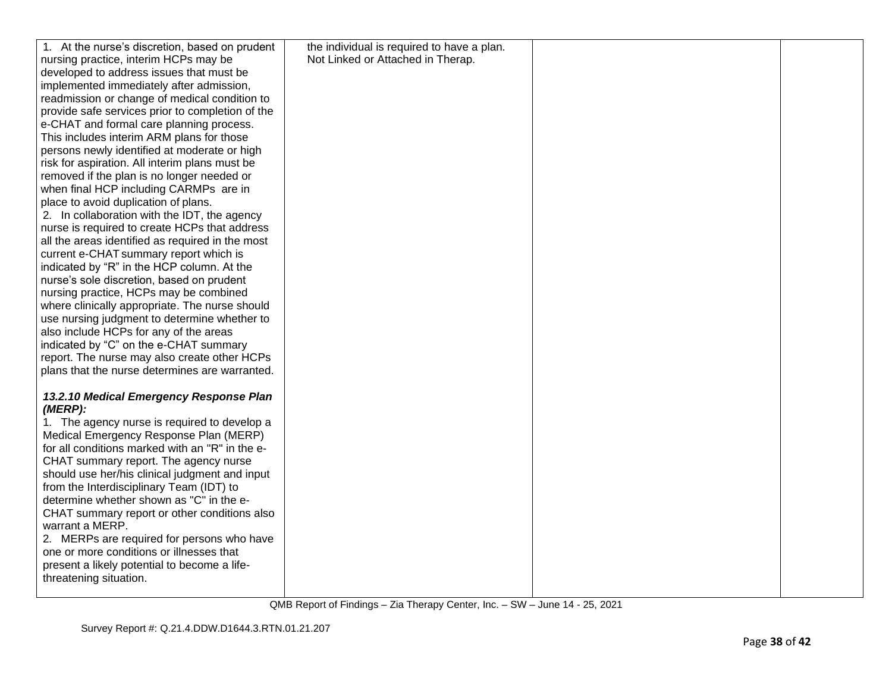| 1. At the nurse's discretion, based on prudent   | the individual is required to have a plan. |  |
|--------------------------------------------------|--------------------------------------------|--|
| nursing practice, interim HCPs may be            | Not Linked or Attached in Therap.          |  |
| developed to address issues that must be         |                                            |  |
| implemented immediately after admission,         |                                            |  |
| readmission or change of medical condition to    |                                            |  |
|                                                  |                                            |  |
| provide safe services prior to completion of the |                                            |  |
| e-CHAT and formal care planning process.         |                                            |  |
| This includes interim ARM plans for those        |                                            |  |
| persons newly identified at moderate or high     |                                            |  |
| risk for aspiration. All interim plans must be   |                                            |  |
| removed if the plan is no longer needed or       |                                            |  |
| when final HCP including CARMPs are in           |                                            |  |
| place to avoid duplication of plans.             |                                            |  |
| 2. In collaboration with the IDT, the agency     |                                            |  |
| nurse is required to create HCPs that address    |                                            |  |
| all the areas identified as required in the most |                                            |  |
| current e-CHAT summary report which is           |                                            |  |
| indicated by "R" in the HCP column. At the       |                                            |  |
| nurse's sole discretion, based on prudent        |                                            |  |
| nursing practice, HCPs may be combined           |                                            |  |
| where clinically appropriate. The nurse should   |                                            |  |
| use nursing judgment to determine whether to     |                                            |  |
| also include HCPs for any of the areas           |                                            |  |
| indicated by "C" on the e-CHAT summary           |                                            |  |
| report. The nurse may also create other HCPs     |                                            |  |
|                                                  |                                            |  |
| plans that the nurse determines are warranted.   |                                            |  |
| 13.2.10 Medical Emergency Response Plan          |                                            |  |
| (MERP):                                          |                                            |  |
| 1. The agency nurse is required to develop a     |                                            |  |
|                                                  |                                            |  |
| Medical Emergency Response Plan (MERP)           |                                            |  |
| for all conditions marked with an "R" in the e-  |                                            |  |
| CHAT summary report. The agency nurse            |                                            |  |
| should use her/his clinical judgment and input   |                                            |  |
| from the Interdisciplinary Team (IDT) to         |                                            |  |
| determine whether shown as "C" in the e-         |                                            |  |
| CHAT summary report or other conditions also     |                                            |  |
| warrant a MERP.                                  |                                            |  |
| 2. MERPs are required for persons who have       |                                            |  |
| one or more conditions or illnesses that         |                                            |  |
| present a likely potential to become a life-     |                                            |  |
| threatening situation.                           |                                            |  |
|                                                  |                                            |  |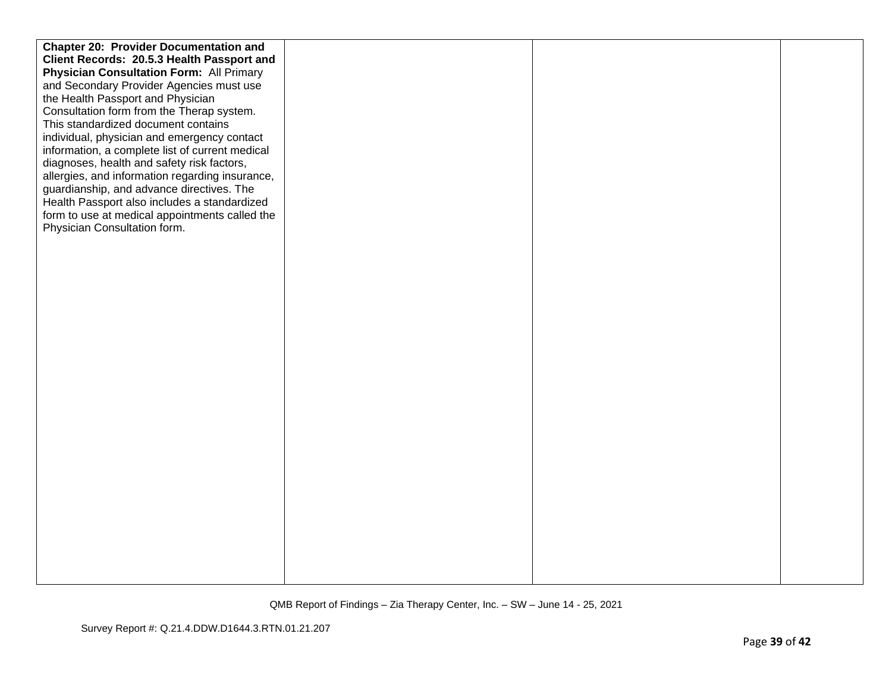| <b>Chapter 20: Provider Documentation and</b>   |  |  |
|-------------------------------------------------|--|--|
| Client Records: 20.5.3 Health Passport and      |  |  |
| <b>Physician Consultation Form: All Primary</b> |  |  |
| and Secondary Provider Agencies must use        |  |  |
| the Health Passport and Physician               |  |  |
| Consultation form from the Therap system.       |  |  |
| This standardized document contains             |  |  |
| individual, physician and emergency contact     |  |  |
| information, a complete list of current medical |  |  |
| diagnoses, health and safety risk factors,      |  |  |
| allergies, and information regarding insurance, |  |  |
| guardianship, and advance directives. The       |  |  |
| Health Passport also includes a standardized    |  |  |
| form to use at medical appointments called the  |  |  |
| Physician Consultation form.                    |  |  |
|                                                 |  |  |
|                                                 |  |  |
|                                                 |  |  |
|                                                 |  |  |
|                                                 |  |  |
|                                                 |  |  |
|                                                 |  |  |
|                                                 |  |  |
|                                                 |  |  |
|                                                 |  |  |
|                                                 |  |  |
|                                                 |  |  |
|                                                 |  |  |
|                                                 |  |  |
|                                                 |  |  |
|                                                 |  |  |
|                                                 |  |  |
|                                                 |  |  |
|                                                 |  |  |
|                                                 |  |  |
|                                                 |  |  |
|                                                 |  |  |
|                                                 |  |  |
|                                                 |  |  |
|                                                 |  |  |
|                                                 |  |  |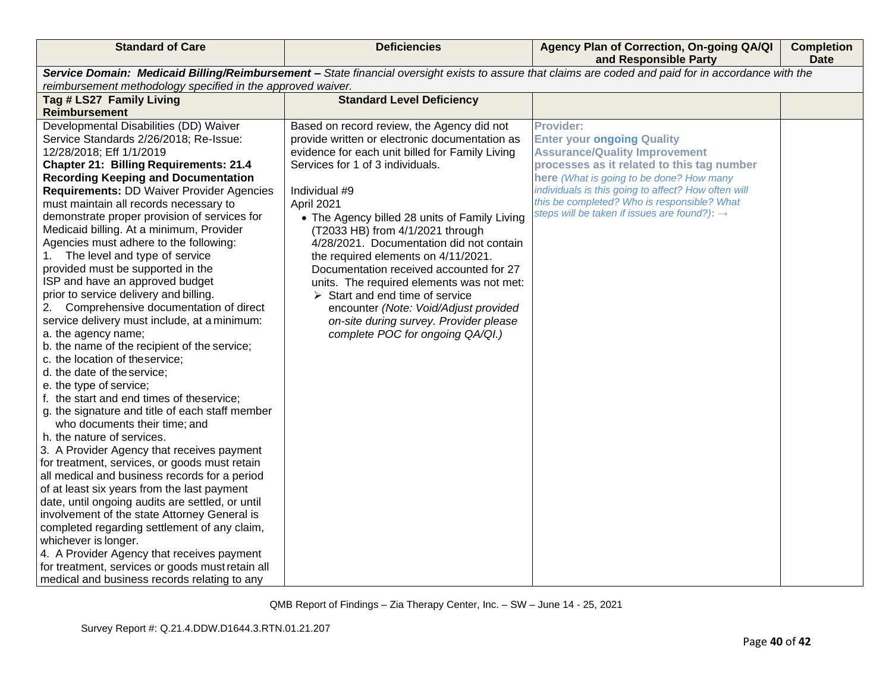| <b>Standard of Care</b>                                     | <b>Deficiencies</b>                             | Agency Plan of Correction, On-going QA/QI<br>and Responsible Party                                                                                    | <b>Completion</b><br><b>Date</b> |
|-------------------------------------------------------------|-------------------------------------------------|-------------------------------------------------------------------------------------------------------------------------------------------------------|----------------------------------|
|                                                             |                                                 | Service Domain: Medicaid Billing/Reimbursement - State financial oversight exists to assure that claims are coded and paid for in accordance with the |                                  |
| reimbursement methodology specified in the approved waiver. |                                                 |                                                                                                                                                       |                                  |
| Tag # LS27 Family Living                                    | <b>Standard Level Deficiency</b>                |                                                                                                                                                       |                                  |
| <b>Reimbursement</b>                                        |                                                 |                                                                                                                                                       |                                  |
| Developmental Disabilities (DD) Waiver                      | Based on record review, the Agency did not      | <b>Provider:</b>                                                                                                                                      |                                  |
| Service Standards 2/26/2018; Re-Issue:                      | provide written or electronic documentation as  | <b>Enter your ongoing Quality</b>                                                                                                                     |                                  |
| 12/28/2018; Eff 1/1/2019                                    | evidence for each unit billed for Family Living | <b>Assurance/Quality Improvement</b>                                                                                                                  |                                  |
| <b>Chapter 21: Billing Requirements: 21.4</b>               | Services for 1 of 3 individuals.                | processes as it related to this tag number                                                                                                            |                                  |
| <b>Recording Keeping and Documentation</b>                  |                                                 | here (What is going to be done? How many                                                                                                              |                                  |
| <b>Requirements: DD Waiver Provider Agencies</b>            | Individual #9                                   | individuals is this going to affect? How often will                                                                                                   |                                  |
| must maintain all records necessary to                      | April 2021                                      | this be completed? Who is responsible? What                                                                                                           |                                  |
| demonstrate proper provision of services for                | • The Agency billed 28 units of Family Living   | steps will be taken if issues are found?): $\rightarrow$                                                                                              |                                  |
| Medicaid billing. At a minimum, Provider                    | (T2033 HB) from 4/1/2021 through                |                                                                                                                                                       |                                  |
| Agencies must adhere to the following:                      | 4/28/2021. Documentation did not contain        |                                                                                                                                                       |                                  |
| 1. The level and type of service                            | the required elements on 4/11/2021.             |                                                                                                                                                       |                                  |
| provided must be supported in the                           | Documentation received accounted for 27         |                                                                                                                                                       |                                  |
| ISP and have an approved budget                             | units. The required elements was not met:       |                                                                                                                                                       |                                  |
| prior to service delivery and billing.                      | $\triangleright$ Start and end time of service  |                                                                                                                                                       |                                  |
| 2. Comprehensive documentation of direct                    | encounter (Note: Void/Adjust provided           |                                                                                                                                                       |                                  |
| service delivery must include, at a minimum:                | on-site during survey. Provider please          |                                                                                                                                                       |                                  |
| a. the agency name;                                         | complete POC for ongoing QA/QI.)                |                                                                                                                                                       |                                  |
| b. the name of the recipient of the service;                |                                                 |                                                                                                                                                       |                                  |
| c. the location of theservice;                              |                                                 |                                                                                                                                                       |                                  |
| d. the date of the service;                                 |                                                 |                                                                                                                                                       |                                  |
| e. the type of service;                                     |                                                 |                                                                                                                                                       |                                  |
| f. the start and end times of theservice;                   |                                                 |                                                                                                                                                       |                                  |
| g. the signature and title of each staff member             |                                                 |                                                                                                                                                       |                                  |
| who documents their time; and<br>h. the nature of services. |                                                 |                                                                                                                                                       |                                  |
| 3. A Provider Agency that receives payment                  |                                                 |                                                                                                                                                       |                                  |
| for treatment, services, or goods must retain               |                                                 |                                                                                                                                                       |                                  |
| all medical and business records for a period               |                                                 |                                                                                                                                                       |                                  |
| of at least six years from the last payment                 |                                                 |                                                                                                                                                       |                                  |
| date, until ongoing audits are settled, or until            |                                                 |                                                                                                                                                       |                                  |
| involvement of the state Attorney General is                |                                                 |                                                                                                                                                       |                                  |
| completed regarding settlement of any claim,                |                                                 |                                                                                                                                                       |                                  |
| whichever is longer.                                        |                                                 |                                                                                                                                                       |                                  |
| 4. A Provider Agency that receives payment                  |                                                 |                                                                                                                                                       |                                  |
| for treatment, services or goods must retain all            |                                                 |                                                                                                                                                       |                                  |
| medical and business records relating to any                |                                                 |                                                                                                                                                       |                                  |
|                                                             |                                                 |                                                                                                                                                       |                                  |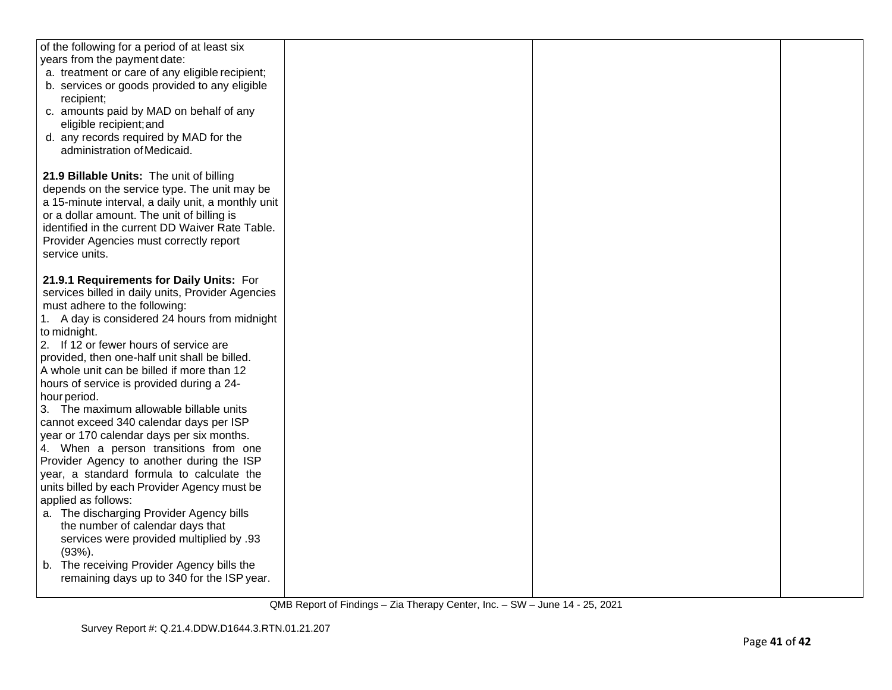| of the following for a period of at least six<br>years from the payment date:<br>a. treatment or care of any eligible recipient;<br>b. services or goods provided to any eligible<br>recipient;<br>c. amounts paid by MAD on behalf of any<br>eligible recipient; and<br>d. any records required by MAD for the<br>administration of Medicaid.                                                                                                                                                                                                                                                                                                                                                                              |  |  |
|-----------------------------------------------------------------------------------------------------------------------------------------------------------------------------------------------------------------------------------------------------------------------------------------------------------------------------------------------------------------------------------------------------------------------------------------------------------------------------------------------------------------------------------------------------------------------------------------------------------------------------------------------------------------------------------------------------------------------------|--|--|
| 21.9 Billable Units: The unit of billing<br>depends on the service type. The unit may be<br>a 15-minute interval, a daily unit, a monthly unit<br>or a dollar amount. The unit of billing is<br>identified in the current DD Waiver Rate Table.<br>Provider Agencies must correctly report<br>service units.                                                                                                                                                                                                                                                                                                                                                                                                                |  |  |
| 21.9.1 Requirements for Daily Units: For<br>services billed in daily units, Provider Agencies<br>must adhere to the following:<br>1. A day is considered 24 hours from midnight<br>to midnight.<br>2. If 12 or fewer hours of service are<br>provided, then one-half unit shall be billed.<br>A whole unit can be billed if more than 12<br>hours of service is provided during a 24-<br>hour period.<br>3. The maximum allowable billable units<br>cannot exceed 340 calendar days per ISP<br>year or 170 calendar days per six months.<br>4. When a person transitions from one<br>Provider Agency to another during the ISP<br>year, a standard formula to calculate the<br>units billed by each Provider Agency must be |  |  |
| applied as follows:<br>a. The discharging Provider Agency bills<br>the number of calendar days that<br>services were provided multiplied by .93<br>(93%).<br>b. The receiving Provider Agency bills the<br>remaining days up to 340 for the ISP year.                                                                                                                                                                                                                                                                                                                                                                                                                                                                       |  |  |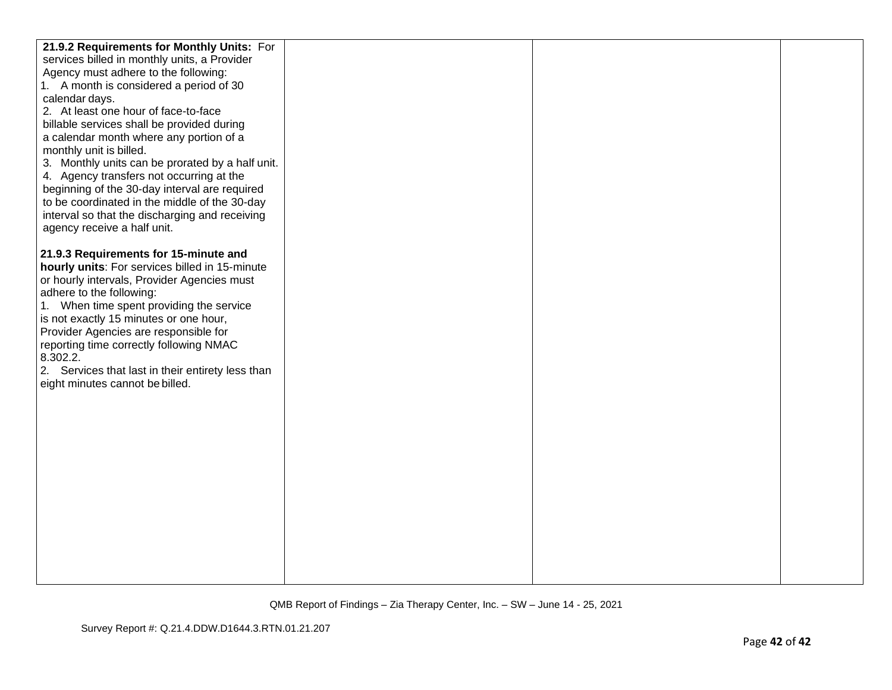| 21.9.2 Requirements for Monthly Units: For                              |  |  |
|-------------------------------------------------------------------------|--|--|
| services billed in monthly units, a Provider                            |  |  |
| Agency must adhere to the following:                                    |  |  |
| 1. A month is considered a period of 30                                 |  |  |
| calendar days.                                                          |  |  |
| 2. At least one hour of face-to-face                                    |  |  |
| billable services shall be provided during                              |  |  |
| a calendar month where any portion of a                                 |  |  |
| monthly unit is billed.                                                 |  |  |
| 3. Monthly units can be prorated by a half unit.                        |  |  |
| 4. Agency transfers not occurring at the                                |  |  |
| beginning of the 30-day interval are required                           |  |  |
| to be coordinated in the middle of the 30-day                           |  |  |
| interval so that the discharging and receiving                          |  |  |
| agency receive a half unit.                                             |  |  |
|                                                                         |  |  |
| 21.9.3 Requirements for 15-minute and                                   |  |  |
| hourly units: For services billed in 15-minute                          |  |  |
| or hourly intervals, Provider Agencies must<br>adhere to the following: |  |  |
| 1. When time spent providing the service                                |  |  |
| is not exactly 15 minutes or one hour,                                  |  |  |
| Provider Agencies are responsible for                                   |  |  |
| reporting time correctly following NMAC                                 |  |  |
| 8.302.2.                                                                |  |  |
| 2. Services that last in their entirety less than                       |  |  |
| eight minutes cannot be billed.                                         |  |  |
|                                                                         |  |  |
|                                                                         |  |  |
|                                                                         |  |  |
|                                                                         |  |  |
|                                                                         |  |  |
|                                                                         |  |  |
|                                                                         |  |  |
|                                                                         |  |  |
|                                                                         |  |  |
|                                                                         |  |  |
|                                                                         |  |  |
|                                                                         |  |  |
|                                                                         |  |  |
|                                                                         |  |  |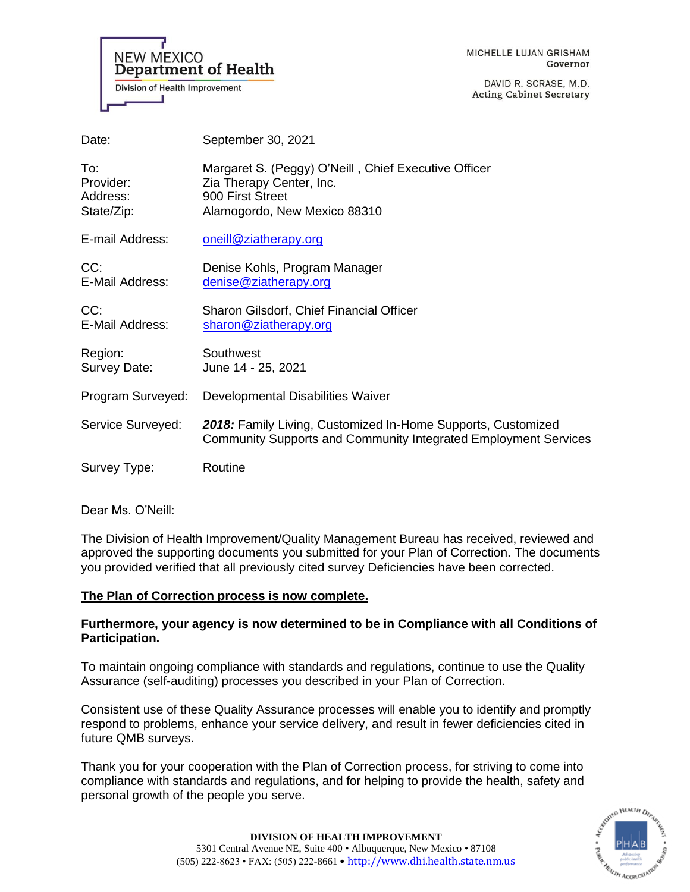

MICHELLE LUJAN GRISHAM Governor

DAVID R. SCRASE, M.D. **Acting Cabinet Secretary** 

| Date:                                      | September 30, 2021                                                                                                                   |
|--------------------------------------------|--------------------------------------------------------------------------------------------------------------------------------------|
| To:<br>Provider:<br>Address:<br>State/Zip: | Margaret S. (Peggy) O'Neill, Chief Executive Officer<br>Zia Therapy Center, Inc.<br>900 First Street<br>Alamogordo, New Mexico 88310 |
| E-mail Address:                            | oneill@ziatherapy.org                                                                                                                |
| CC:<br>E-Mail Address:                     | Denise Kohls, Program Manager<br>denise@ziatherapy.org                                                                               |
| CC:<br>E-Mail Address:                     | Sharon Gilsdorf, Chief Financial Officer<br>sharon@ziatherapy.org                                                                    |
| Region:<br>Survey Date:                    | Southwest<br>June 14 - 25, 2021                                                                                                      |
| Program Surveyed:                          | Developmental Disabilities Waiver                                                                                                    |
| Service Surveyed:                          | 2018: Family Living, Customized In-Home Supports, Customized<br>Community Supports and Community Integrated Employment Services      |
| Survey Type:                               | Routine                                                                                                                              |

Dear Ms. O'Neill:

The Division of Health Improvement/Quality Management Bureau has received, reviewed and approved the supporting documents you submitted for your Plan of Correction. The documents you provided verified that all previously cited survey Deficiencies have been corrected.

### **The Plan of Correction process is now complete.**

### **Furthermore, your agency is now determined to be in Compliance with all Conditions of Participation.**

To maintain ongoing compliance with standards and regulations, continue to use the Quality Assurance (self-auditing) processes you described in your Plan of Correction.

Consistent use of these Quality Assurance processes will enable you to identify and promptly respond to problems, enhance your service delivery, and result in fewer deficiencies cited in future QMB surveys.

Thank you for your cooperation with the Plan of Correction process, for striving to come into compliance with standards and regulations, and for helping to provide the health, safety and personal growth of the people you serve.